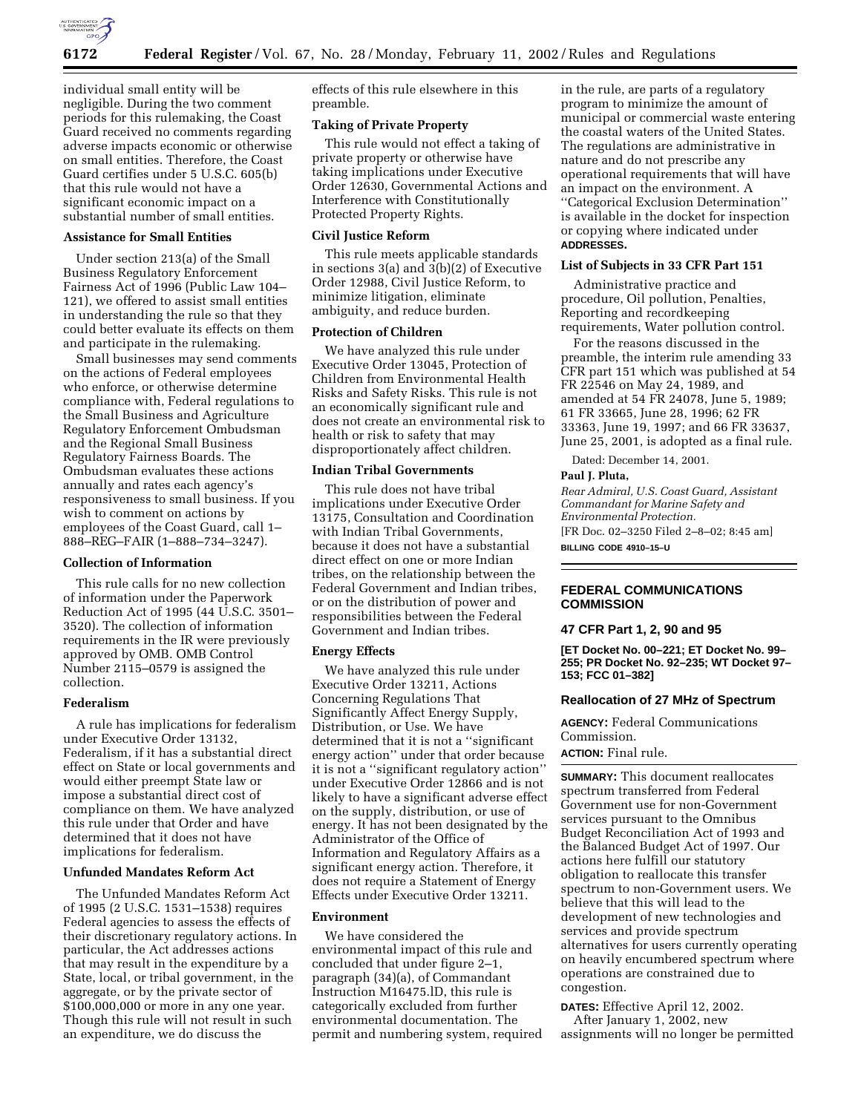

individual small entity will be negligible. During the two comment periods for this rulemaking, the Coast Guard received no comments regarding adverse impacts economic or otherwise on small entities. Therefore, the Coast Guard certifies under 5 U.S.C. 605(b) that this rule would not have a significant economic impact on a substantial number of small entities.

# **Assistance for Small Entities**

Under section 213(a) of the Small Business Regulatory Enforcement Fairness Act of 1996 (Public Law 104– 121), we offered to assist small entities in understanding the rule so that they could better evaluate its effects on them and participate in the rulemaking.

Small businesses may send comments on the actions of Federal employees who enforce, or otherwise determine compliance with, Federal regulations to the Small Business and Agriculture Regulatory Enforcement Ombudsman and the Regional Small Business Regulatory Fairness Boards. The Ombudsman evaluates these actions annually and rates each agency's responsiveness to small business. If you wish to comment on actions by employees of the Coast Guard, call 1– 888–REG–FAIR (1–888–734–3247).

## **Collection of Information**

This rule calls for no new collection of information under the Paperwork Reduction Act of 1995 (44 U.S.C. 3501– 3520). The collection of information requirements in the IR were previously approved by OMB. OMB Control Number 2115–0579 is assigned the collection.

## **Federalism**

A rule has implications for federalism under Executive Order 13132, Federalism, if it has a substantial direct effect on State or local governments and would either preempt State law or impose a substantial direct cost of compliance on them. We have analyzed this rule under that Order and have determined that it does not have implications for federalism.

# **Unfunded Mandates Reform Act**

The Unfunded Mandates Reform Act of 1995 (2 U.S.C. 1531–1538) requires Federal agencies to assess the effects of their discretionary regulatory actions. In particular, the Act addresses actions that may result in the expenditure by a State, local, or tribal government, in the aggregate, or by the private sector of \$100,000,000 or more in any one year. Though this rule will not result in such an expenditure, we do discuss the

effects of this rule elsewhere in this preamble.

# **Taking of Private Property**

This rule would not effect a taking of private property or otherwise have taking implications under Executive Order 12630, Governmental Actions and Interference with Constitutionally Protected Property Rights.

## **Civil Justice Reform**

This rule meets applicable standards in sections 3(a) and 3(b)(2) of Executive Order 12988, Civil Justice Reform, to minimize litigation, eliminate ambiguity, and reduce burden.

# **Protection of Children**

We have analyzed this rule under Executive Order 13045, Protection of Children from Environmental Health Risks and Safety Risks. This rule is not an economically significant rule and does not create an environmental risk to health or risk to safety that may disproportionately affect children.

# **Indian Tribal Governments**

This rule does not have tribal implications under Executive Order 13175, Consultation and Coordination with Indian Tribal Governments, because it does not have a substantial direct effect on one or more Indian tribes, on the relationship between the Federal Government and Indian tribes, or on the distribution of power and responsibilities between the Federal Government and Indian tribes.

#### **Energy Effects**

We have analyzed this rule under Executive Order 13211, Actions Concerning Regulations That Significantly Affect Energy Supply, Distribution, or Use. We have determined that it is not a ''significant energy action'' under that order because it is not a ''significant regulatory action'' under Executive Order 12866 and is not likely to have a significant adverse effect on the supply, distribution, or use of energy. It has not been designated by the Administrator of the Office of Information and Regulatory Affairs as a significant energy action. Therefore, it does not require a Statement of Energy Effects under Executive Order 13211.

# **Environment**

We have considered the environmental impact of this rule and concluded that under figure 2–1, paragraph (34)(a), of Commandant Instruction M16475.lD, this rule is categorically excluded from further environmental documentation. The permit and numbering system, required

in the rule, are parts of a regulatory program to minimize the amount of municipal or commercial waste entering the coastal waters of the United States. The regulations are administrative in nature and do not prescribe any operational requirements that will have an impact on the environment. A ''Categorical Exclusion Determination'' is available in the docket for inspection or copying where indicated under **ADDRESSES.**

## **List of Subjects in 33 CFR Part 151**

Administrative practice and procedure, Oil pollution, Penalties, Reporting and recordkeeping requirements, Water pollution control.

For the reasons discussed in the preamble, the interim rule amending 33 CFR part 151 which was published at 54 FR 22546 on May 24, 1989, and amended at 54 FR 24078, June 5, 1989; 61 FR 33665, June 28, 1996; 62 FR 33363, June 19, 1997; and 66 FR 33637, June 25, 2001, is adopted as a final rule.

Dated: December 14, 2001.

## **Paul J. Pluta,**

*Rear Admiral, U.S. Coast Guard, Assistant Commandant for Marine Safety and Environmental Protection.* [FR Doc. 02–3250 Filed 2–8–02; 8:45 am] **BILLING CODE 4910–15–U**

# **FEDERAL COMMUNICATIONS COMMISSION**

## **47 CFR Part 1, 2, 90 and 95**

**[ET Docket No. 00–221; ET Docket No. 99– 255; PR Docket No. 92–235; WT Docket 97– 153; FCC 01–382]**

## **Reallocation of 27 MHz of Spectrum**

**AGENCY:** Federal Communications Commission.

# **ACTION:** Final rule.

**SUMMARY:** This document reallocates spectrum transferred from Federal Government use for non-Government services pursuant to the Omnibus Budget Reconciliation Act of 1993 and the Balanced Budget Act of 1997. Our actions here fulfill our statutory obligation to reallocate this transfer spectrum to non-Government users. We believe that this will lead to the development of new technologies and services and provide spectrum alternatives for users currently operating on heavily encumbered spectrum where operations are constrained due to congestion.

**DATES:** Effective April 12, 2002. After January 1, 2002, new assignments will no longer be permitted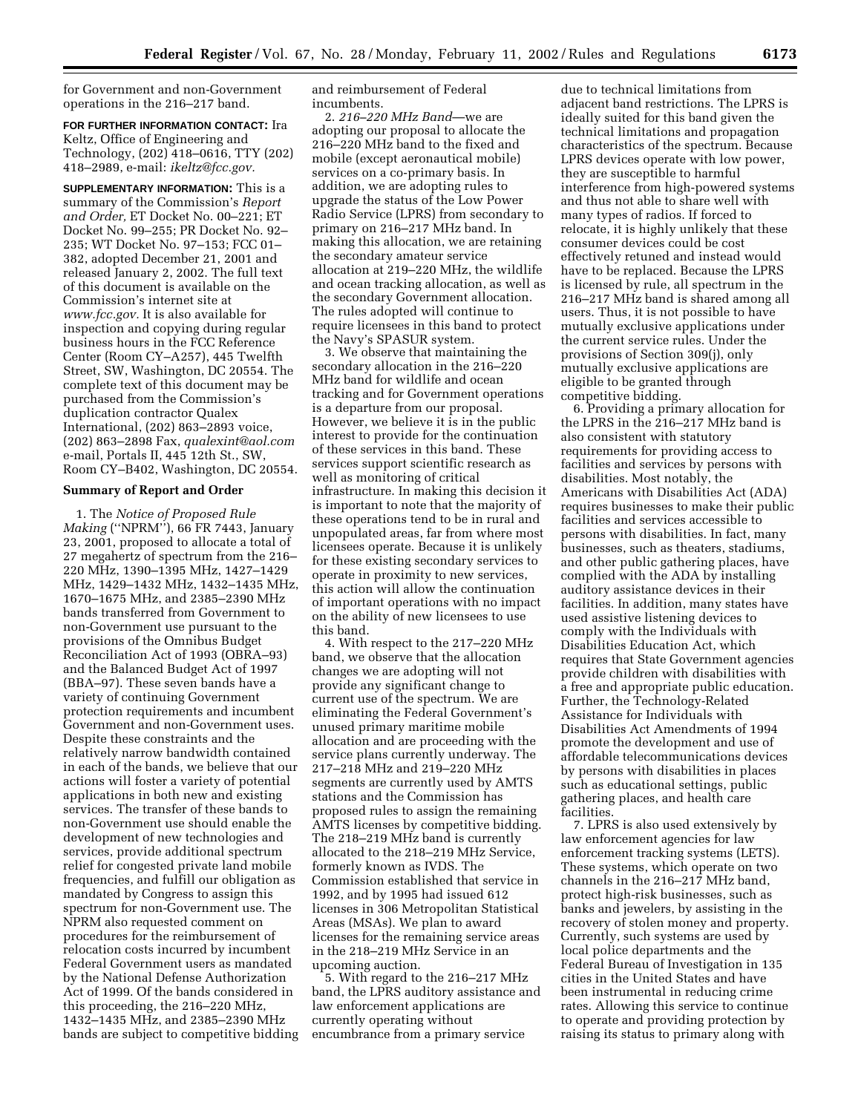for Government and non-Government operations in the 216–217 band.

**FOR FURTHER INFORMATION CONTACT:** Ira Keltz, Office of Engineering and Technology, (202) 418–0616, TTY (202) 418–2989, e-mail: *ikeltz@fcc.gov.*

**SUPPLEMENTARY INFORMATION:** This is a summary of the Commission's *Report and Order,* ET Docket No. 00–221; ET Docket No. 99–255; PR Docket No. 92– 235; WT Docket No. 97–153; FCC 01– 382, adopted December 21, 2001 and released January 2, 2002. The full text of this document is available on the Commission's internet site at *www.fcc.gov.* It is also available for inspection and copying during regular business hours in the FCC Reference Center (Room CY–A257), 445 Twelfth Street, SW, Washington, DC 20554. The complete text of this document may be purchased from the Commission's duplication contractor Qualex International, (202) 863–2893 voice, (202) 863–2898 Fax, *qualexint@aol.com* e-mail, Portals II, 445 12th St., SW, Room CY–B402, Washington, DC 20554.

## **Summary of Report and Order**

1. The *Notice of Proposed Rule Making* (''NPRM''), 66 FR 7443, January 23, 2001, proposed to allocate a total of 27 megahertz of spectrum from the 216– 220 MHz, 1390–1395 MHz, 1427–1429 MHz, 1429–1432 MHz, 1432–1435 MHz, 1670–1675 MHz, and 2385–2390 MHz bands transferred from Government to non-Government use pursuant to the provisions of the Omnibus Budget Reconciliation Act of 1993 (OBRA–93) and the Balanced Budget Act of 1997 (BBA–97). These seven bands have a variety of continuing Government protection requirements and incumbent Government and non-Government uses. Despite these constraints and the relatively narrow bandwidth contained in each of the bands, we believe that our actions will foster a variety of potential applications in both new and existing services. The transfer of these bands to non-Government use should enable the development of new technologies and services, provide additional spectrum relief for congested private land mobile frequencies, and fulfill our obligation as mandated by Congress to assign this spectrum for non-Government use. The NPRM also requested comment on procedures for the reimbursement of relocation costs incurred by incumbent Federal Government users as mandated by the National Defense Authorization Act of 1999. Of the bands considered in this proceeding, the 216–220 MHz, 1432–1435 MHz, and 2385–2390 MHz bands are subject to competitive bidding and reimbursement of Federal incumbents.

2. *216–220 MHz Band*—we are adopting our proposal to allocate the 216–220 MHz band to the fixed and mobile (except aeronautical mobile) services on a co-primary basis. In addition, we are adopting rules to upgrade the status of the Low Power Radio Service (LPRS) from secondary to primary on 216–217 MHz band. In making this allocation, we are retaining the secondary amateur service allocation at 219–220 MHz, the wildlife and ocean tracking allocation, as well as the secondary Government allocation. The rules adopted will continue to require licensees in this band to protect the Navy's SPASUR system.

3. We observe that maintaining the secondary allocation in the 216–220 MHz band for wildlife and ocean tracking and for Government operations is a departure from our proposal. However, we believe it is in the public interest to provide for the continuation of these services in this band. These services support scientific research as well as monitoring of critical infrastructure. In making this decision it is important to note that the majority of these operations tend to be in rural and unpopulated areas, far from where most licensees operate. Because it is unlikely for these existing secondary services to operate in proximity to new services, this action will allow the continuation of important operations with no impact on the ability of new licensees to use this band.

4. With respect to the 217–220 MHz band, we observe that the allocation changes we are adopting will not provide any significant change to current use of the spectrum. We are eliminating the Federal Government's unused primary maritime mobile allocation and are proceeding with the service plans currently underway. The 217–218 MHz and 219–220 MHz segments are currently used by AMTS stations and the Commission has proposed rules to assign the remaining AMTS licenses by competitive bidding. The 218–219 MHz band is currently allocated to the 218–219 MHz Service, formerly known as IVDS. The Commission established that service in 1992, and by 1995 had issued 612 licenses in 306 Metropolitan Statistical Areas (MSAs). We plan to award licenses for the remaining service areas in the 218–219 MHz Service in an upcoming auction.

5. With regard to the 216–217 MHz band, the LPRS auditory assistance and law enforcement applications are currently operating without encumbrance from a primary service

due to technical limitations from adjacent band restrictions. The LPRS is ideally suited for this band given the technical limitations and propagation characteristics of the spectrum. Because LPRS devices operate with low power, they are susceptible to harmful interference from high-powered systems and thus not able to share well with many types of radios. If forced to relocate, it is highly unlikely that these consumer devices could be cost effectively retuned and instead would have to be replaced. Because the LPRS is licensed by rule, all spectrum in the 216–217 MHz band is shared among all users. Thus, it is not possible to have mutually exclusive applications under the current service rules. Under the provisions of Section 309(j), only mutually exclusive applications are eligible to be granted through competitive bidding.

6. Providing a primary allocation for the LPRS in the 216–217 MHz band is also consistent with statutory requirements for providing access to facilities and services by persons with disabilities. Most notably, the Americans with Disabilities Act (ADA) requires businesses to make their public facilities and services accessible to persons with disabilities. In fact, many businesses, such as theaters, stadiums, and other public gathering places, have complied with the ADA by installing auditory assistance devices in their facilities. In addition, many states have used assistive listening devices to comply with the Individuals with Disabilities Education Act, which requires that State Government agencies provide children with disabilities with a free and appropriate public education. Further, the Technology-Related Assistance for Individuals with Disabilities Act Amendments of 1994 promote the development and use of affordable telecommunications devices by persons with disabilities in places such as educational settings, public gathering places, and health care facilities.

7. LPRS is also used extensively by law enforcement agencies for law enforcement tracking systems (LETS). These systems, which operate on two channels in the 216–217 MHz band, protect high-risk businesses, such as banks and jewelers, by assisting in the recovery of stolen money and property. Currently, such systems are used by local police departments and the Federal Bureau of Investigation in 135 cities in the United States and have been instrumental in reducing crime rates. Allowing this service to continue to operate and providing protection by raising its status to primary along with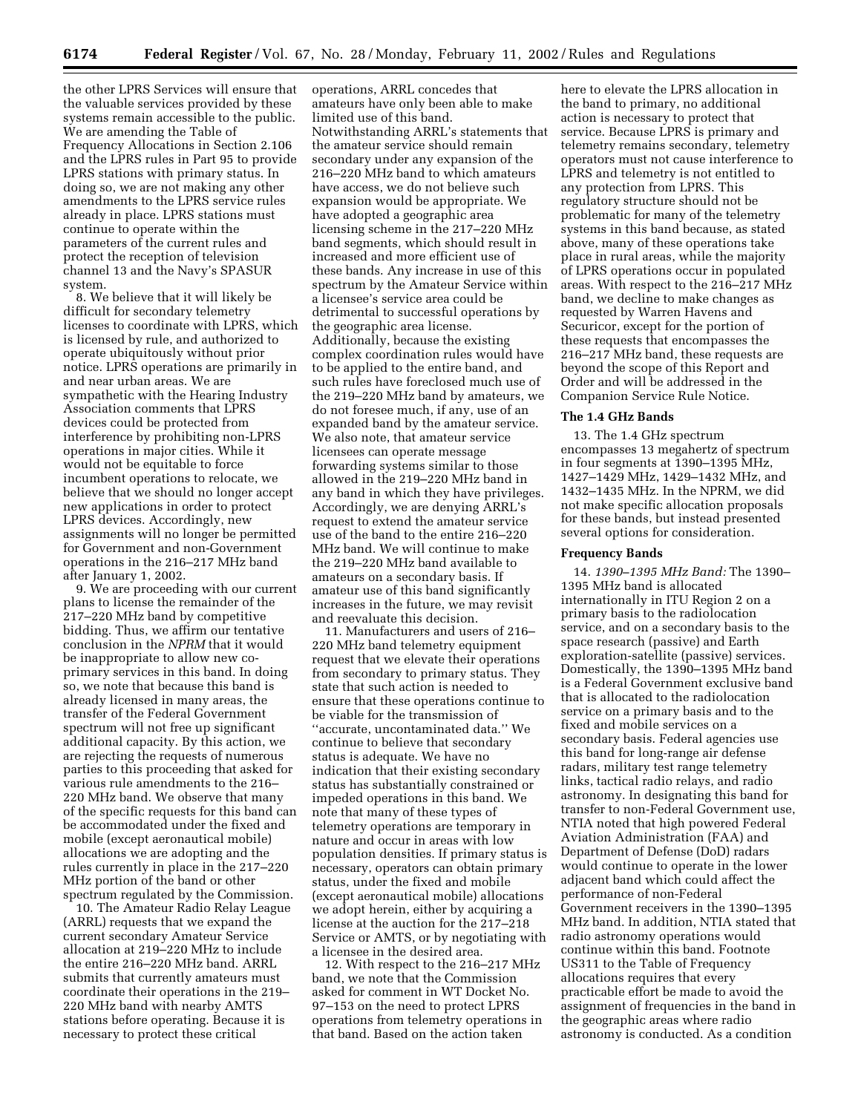the other LPRS Services will ensure that the valuable services provided by these systems remain accessible to the public. We are amending the Table of Frequency Allocations in Section 2.106 and the LPRS rules in Part 95 to provide LPRS stations with primary status. In doing so, we are not making any other amendments to the LPRS service rules already in place. LPRS stations must continue to operate within the parameters of the current rules and protect the reception of television channel 13 and the Navy's SPASUR system.

8. We believe that it will likely be difficult for secondary telemetry licenses to coordinate with LPRS, which is licensed by rule, and authorized to operate ubiquitously without prior notice. LPRS operations are primarily in and near urban areas. We are sympathetic with the Hearing Industry Association comments that LPRS devices could be protected from interference by prohibiting non-LPRS operations in major cities. While it would not be equitable to force incumbent operations to relocate, we believe that we should no longer accept new applications in order to protect LPRS devices. Accordingly, new assignments will no longer be permitted for Government and non-Government operations in the 216–217 MHz band after January 1, 2002.

9. We are proceeding with our current plans to license the remainder of the 217–220 MHz band by competitive bidding. Thus, we affirm our tentative conclusion in the *NPRM* that it would be inappropriate to allow new coprimary services in this band. In doing so, we note that because this band is already licensed in many areas, the transfer of the Federal Government spectrum will not free up significant additional capacity. By this action, we are rejecting the requests of numerous parties to this proceeding that asked for various rule amendments to the 216– 220 MHz band. We observe that many of the specific requests for this band can be accommodated under the fixed and mobile (except aeronautical mobile) allocations we are adopting and the rules currently in place in the 217–220 MHz portion of the band or other spectrum regulated by the Commission.

10. The Amateur Radio Relay League (ARRL) requests that we expand the current secondary Amateur Service allocation at 219–220 MHz to include the entire 216–220 MHz band. ARRL submits that currently amateurs must coordinate their operations in the 219– 220 MHz band with nearby AMTS stations before operating. Because it is necessary to protect these critical

operations, ARRL concedes that amateurs have only been able to make limited use of this band. Notwithstanding ARRL's statements that the amateur service should remain secondary under any expansion of the 216–220 MHz band to which amateurs have access, we do not believe such expansion would be appropriate. We have adopted a geographic area licensing scheme in the 217–220 MHz band segments, which should result in increased and more efficient use of these bands. Any increase in use of this spectrum by the Amateur Service within a licensee's service area could be detrimental to successful operations by the geographic area license. Additionally, because the existing complex coordination rules would have to be applied to the entire band, and such rules have foreclosed much use of the 219–220 MHz band by amateurs, we do not foresee much, if any, use of an expanded band by the amateur service. We also note, that amateur service licensees can operate message forwarding systems similar to those allowed in the 219–220 MHz band in any band in which they have privileges. Accordingly, we are denying ARRL's request to extend the amateur service use of the band to the entire 216–220 MHz band. We will continue to make the 219–220 MHz band available to amateurs on a secondary basis. If amateur use of this band significantly increases in the future, we may revisit and reevaluate this decision.

11. Manufacturers and users of 216– 220 MHz band telemetry equipment request that we elevate their operations from secondary to primary status. They state that such action is needed to ensure that these operations continue to be viable for the transmission of ''accurate, uncontaminated data.'' We continue to believe that secondary status is adequate. We have no indication that their existing secondary status has substantially constrained or impeded operations in this band. We note that many of these types of telemetry operations are temporary in nature and occur in areas with low population densities. If primary status is necessary, operators can obtain primary status, under the fixed and mobile (except aeronautical mobile) allocations we adopt herein, either by acquiring a license at the auction for the 217–218 Service or AMTS, or by negotiating with a licensee in the desired area.

12. With respect to the 216–217 MHz band, we note that the Commission asked for comment in WT Docket No. 97–153 on the need to protect LPRS operations from telemetry operations in that band. Based on the action taken

here to elevate the LPRS allocation in the band to primary, no additional action is necessary to protect that service. Because LPRS is primary and telemetry remains secondary, telemetry operators must not cause interference to LPRS and telemetry is not entitled to any protection from LPRS. This regulatory structure should not be problematic for many of the telemetry systems in this band because, as stated above, many of these operations take place in rural areas, while the majority of LPRS operations occur in populated areas. With respect to the 216–217 MHz band, we decline to make changes as requested by Warren Havens and Securicor, except for the portion of these requests that encompasses the 216–217 MHz band, these requests are beyond the scope of this Report and Order and will be addressed in the Companion Service Rule Notice.

# **The 1.4 GHz Bands**

13. The 1.4 GHz spectrum encompasses 13 megahertz of spectrum in four segments at 1390–1395 MHz, 1427–1429 MHz, 1429–1432 MHz, and 1432–1435 MHz. In the NPRM, we did not make specific allocation proposals for these bands, but instead presented several options for consideration.

## **Frequency Bands**

14. *1390–1395 MHz Band:* The 1390– 1395 MHz band is allocated internationally in ITU Region 2 on a primary basis to the radiolocation service, and on a secondary basis to the space research (passive) and Earth exploration-satellite (passive) services. Domestically, the 1390–1395 MHz band is a Federal Government exclusive band that is allocated to the radiolocation service on a primary basis and to the fixed and mobile services on a secondary basis. Federal agencies use this band for long-range air defense radars, military test range telemetry links, tactical radio relays, and radio astronomy. In designating this band for transfer to non-Federal Government use, NTIA noted that high powered Federal Aviation Administration (FAA) and Department of Defense (DoD) radars would continue to operate in the lower adjacent band which could affect the performance of non-Federal Government receivers in the 1390–1395 MHz band. In addition, NTIA stated that radio astronomy operations would continue within this band. Footnote US311 to the Table of Frequency allocations requires that every practicable effort be made to avoid the assignment of frequencies in the band in the geographic areas where radio astronomy is conducted. As a condition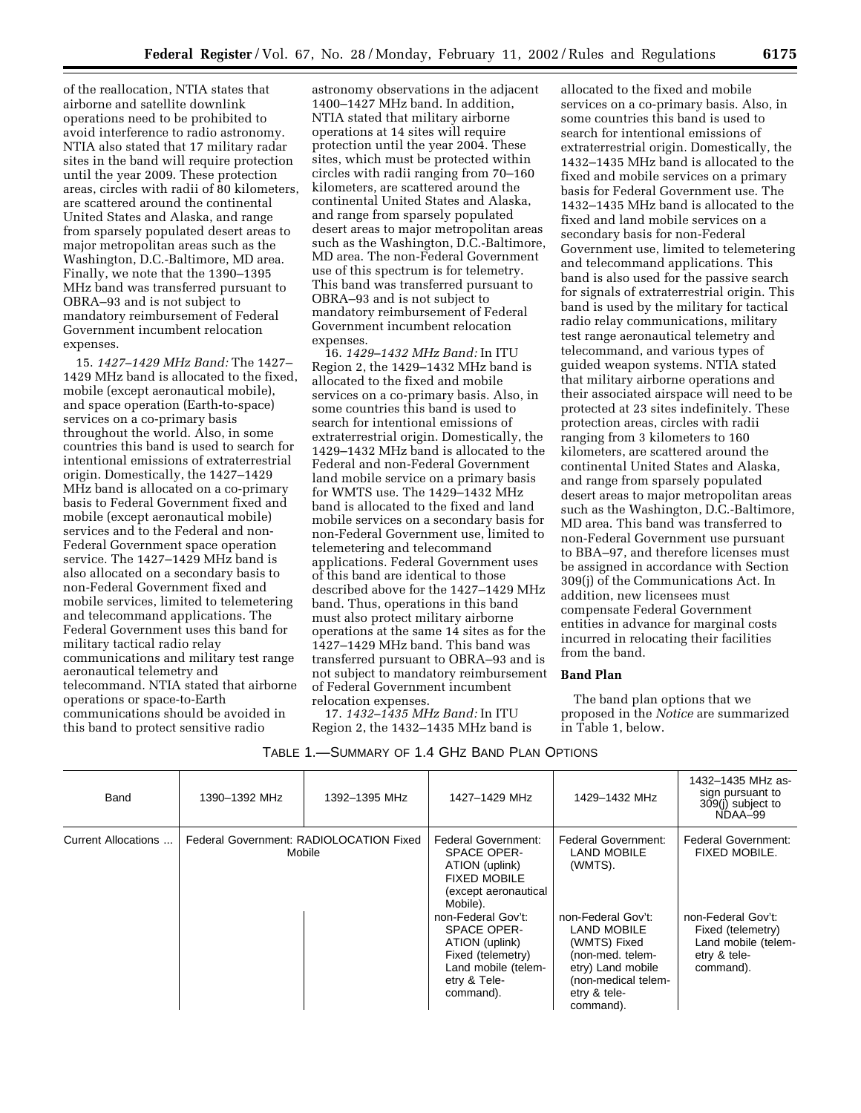of the reallocation, NTIA states that airborne and satellite downlink operations need to be prohibited to avoid interference to radio astronomy. NTIA also stated that 17 military radar sites in the band will require protection until the year 2009. These protection areas, circles with radii of 80 kilometers, are scattered around the continental United States and Alaska, and range from sparsely populated desert areas to major metropolitan areas such as the Washington, D.C.-Baltimore, MD area. Finally, we note that the 1390–1395 MHz band was transferred pursuant to OBRA–93 and is not subject to mandatory reimbursement of Federal Government incumbent relocation expenses.

15. *1427–1429 MHz Band:* The 1427– 1429 MHz band is allocated to the fixed, mobile (except aeronautical mobile), and space operation (Earth-to-space) services on a co-primary basis throughout the world. Also, in some countries this band is used to search for intentional emissions of extraterrestrial origin. Domestically, the 1427–1429 MHz band is allocated on a co-primary basis to Federal Government fixed and mobile (except aeronautical mobile) services and to the Federal and non-Federal Government space operation service. The 1427–1429 MHz band is also allocated on a secondary basis to non-Federal Government fixed and mobile services, limited to telemetering and telecommand applications. The Federal Government uses this band for military tactical radio relay communications and military test range aeronautical telemetry and telecommand. NTIA stated that airborne operations or space-to-Earth communications should be avoided in this band to protect sensitive radio

astronomy observations in the adjacent 1400–1427 MHz band. In addition, NTIA stated that military airborne operations at 14 sites will require protection until the year 2004. These sites, which must be protected within circles with radii ranging from 70–160 kilometers, are scattered around the continental United States and Alaska, and range from sparsely populated desert areas to major metropolitan areas such as the Washington, D.C.-Baltimore, MD area. The non-Federal Government use of this spectrum is for telemetry. This band was transferred pursuant to OBRA–93 and is not subject to mandatory reimbursement of Federal Government incumbent relocation expenses.

16. *1429–1432 MHz Band:* In ITU Region 2, the 1429–1432 MHz band is allocated to the fixed and mobile services on a co-primary basis. Also, in some countries this band is used to search for intentional emissions of extraterrestrial origin. Domestically, the 1429–1432 MHz band is allocated to the Federal and non-Federal Government land mobile service on a primary basis for WMTS use. The 1429–1432 MHz band is allocated to the fixed and land mobile services on a secondary basis for non-Federal Government use, limited to telemetering and telecommand applications. Federal Government uses of this band are identical to those described above for the 1427–1429 MHz band. Thus, operations in this band must also protect military airborne operations at the same 14 sites as for the 1427–1429 MHz band. This band was transferred pursuant to OBRA–93 and is not subject to mandatory reimbursement of Federal Government incumbent relocation expenses.

17. *1432–1435 MHz Band:* In ITU Region 2, the 1432–1435 MHz band is

allocated to the fixed and mobile services on a co-primary basis. Also, in some countries this band is used to search for intentional emissions of extraterrestrial origin. Domestically, the 1432–1435 MHz band is allocated to the fixed and mobile services on a primary basis for Federal Government use. The 1432–1435 MHz band is allocated to the fixed and land mobile services on a secondary basis for non-Federal Government use, limited to telemetering and telecommand applications. This band is also used for the passive search for signals of extraterrestrial origin. This band is used by the military for tactical radio relay communications, military test range aeronautical telemetry and telecommand, and various types of guided weapon systems. NTIA stated that military airborne operations and their associated airspace will need to be protected at 23 sites indefinitely. These protection areas, circles with radii ranging from 3 kilometers to 160 kilometers, are scattered around the continental United States and Alaska, and range from sparsely populated desert areas to major metropolitan areas such as the Washington, D.C.-Baltimore, MD area. This band was transferred to non-Federal Government use pursuant to BBA–97, and therefore licenses must be assigned in accordance with Section 309(j) of the Communications Act. In addition, new licensees must compensate Federal Government entities in advance for marginal costs incurred in relocating their facilities from the band.

## **Band Plan**

The band plan options that we proposed in the *Notice* are summarized in Table 1, below.

| Band                | 1390-1392 MHz | 1392-1395 MHz                                     | 1427-1429 MHz                                                                                                                                                                                                                                                 | 1429-1432 MHz                                                                                                                                                                                                 | 1432-1435 MHz as-<br>sign pursuant to<br>309(j) subject to<br>NDAA-99                                                                             |
|---------------------|---------------|---------------------------------------------------|---------------------------------------------------------------------------------------------------------------------------------------------------------------------------------------------------------------------------------------------------------------|---------------------------------------------------------------------------------------------------------------------------------------------------------------------------------------------------------------|---------------------------------------------------------------------------------------------------------------------------------------------------|
| Current Allocations |               | Federal Government: RADIOLOCATION Fixed<br>Mobile | Federal Government:<br><b>SPACE OPER-</b><br>ATION (uplink)<br><b>FIXED MOBILE</b><br>(except aeronautical<br>Mobile).<br>non-Federal Gov't:<br><b>SPACE OPER-</b><br>ATION (uplink)<br>Fixed (telemetry)<br>Land mobile (telem-<br>etry & Tele-<br>command). | Federal Government:<br><b>LAND MOBILE</b><br>(WMTS).<br>non-Federal Gov't:<br><b>LAND MOBILE</b><br>(WMTS) Fixed<br>(non-med. telem-<br>etry) Land mobile<br>(non-medical telem-<br>etry & tele-<br>command). | <b>Federal Government:</b><br><b>FIXED MOBILE.</b><br>non-Federal Gov't:<br>Fixed (telemetry)<br>Land mobile (telem-<br>etry & tele-<br>command). |

#### TABLE 1.—SUMMARY OF 1.4 GHZ BAND PLAN OPTIONS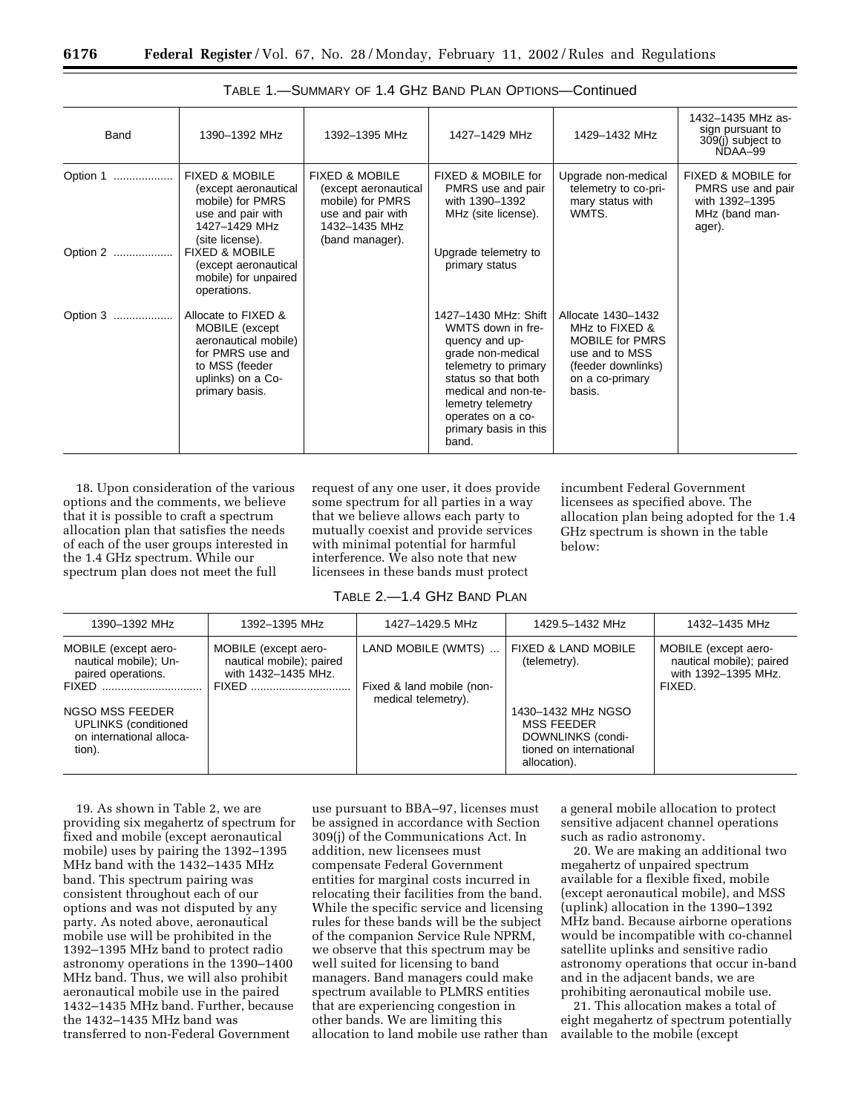| Band          | 1390-1392 MHz                                                                                                                              | 1392-1395 MHz                                                                                                                  | 1427-1429 MHz                                                                                                                                                                                                                      | 1429-1432 MHz                                                                                                                       | 1432-1435 MHz as-<br>sign pursuant to<br>309(j) subject to<br>NDAA-99                 |
|---------------|--------------------------------------------------------------------------------------------------------------------------------------------|--------------------------------------------------------------------------------------------------------------------------------|------------------------------------------------------------------------------------------------------------------------------------------------------------------------------------------------------------------------------------|-------------------------------------------------------------------------------------------------------------------------------------|---------------------------------------------------------------------------------------|
| Option 1<br>. | <b>FIXED &amp; MOBILE</b><br>(except aeronautical<br>mobile) for PMRS<br>use and pair with<br>1427-1429 MHz<br>(site license).             | <b>FIXED &amp; MOBILE</b><br>(except aeronautical<br>mobile) for PMRS<br>use and pair with<br>1432-1435 MHz<br>(band manager). | FIXED & MOBILE for<br>PMRS use and pair<br>with 1390-1392<br>MHz (site license).                                                                                                                                                   | Upgrade non-medical<br>telemetry to co-pri-<br>mary status with<br>WMTS.                                                            | FIXED & MOBILE for<br>PMRS use and pair<br>with 1392-1395<br>MHz (band man-<br>ager). |
| Option 2      | <b>FIXED &amp; MOBILE</b><br>(except aeronautical<br>mobile) for unpaired<br>operations.                                                   |                                                                                                                                | Upgrade telemetry to<br>primary status                                                                                                                                                                                             |                                                                                                                                     |                                                                                       |
| Option 3      | Allocate to FIXED &<br>MOBILE (except<br>aeronautical mobile)<br>for PMRS use and<br>to MSS (feeder<br>uplinks) on a Co-<br>primary basis. |                                                                                                                                | 1427–1430 MHz: Shift<br>WMTS down in fre-<br>quency and up-<br>grade non-medical<br>telemetry to primary<br>status so that both<br>medical and non-te-<br>lemetry telemetry<br>operates on a co-<br>primary basis in this<br>band. | Allocate 1430-1432<br>MHz to FIXED &<br><b>MOBILE for PMRS</b><br>use and to MSS<br>(feeder downlinks)<br>on a co-primary<br>basis. |                                                                                       |

| TABLE 1.—SUMMARY OF 1.4 GHZ BAND PLAN OPTIONS—Continued |  |
|---------------------------------------------------------|--|
|---------------------------------------------------------|--|

18. Upon consideration of the various options and the comments, we believe that it is possible to craft a spectrum allocation plan that satisfies the needs of each of the user groups interested in the 1.4 GHz spectrum. While our spectrum plan does not meet the full

request of any one user, it does provide some spectrum for all parties in a way that we believe allows each party to mutually coexist and provide services with minimal potential for harmful interference. We also note that new licensees in these bands must protect

incumbent Federal Government licensees as specified above. The allocation plan being adopted for the 1.4 GHz spectrum is shown in the table below:

# TABLE 2.—1.4 GHZ BAND PLAN

| 1390-1392 MHz                                                                                                                                               | 1392-1395 MHz                                                                    | 1427–1429.5 MHz                                                        | 1429.5-1432 MHz                                                                                                                                           | 1432-1435 MHz                                                                     |
|-------------------------------------------------------------------------------------------------------------------------------------------------------------|----------------------------------------------------------------------------------|------------------------------------------------------------------------|-----------------------------------------------------------------------------------------------------------------------------------------------------------|-----------------------------------------------------------------------------------|
| MOBILE (except aero-<br>nautical mobile); Un-<br>paired operations.<br>NGSO MSS FEEDER<br><b>UPLINKS</b> (conditioned<br>on international alloca-<br>tion). | MOBILE (except aero-<br>nautical mobile); paired<br>with 1432-1435 MHz.<br>FIXED | LAND MOBILE (WMTS)<br>Fixed & land mobile (non-<br>medical telemetry). | <b>FIXED &amp; LAND MOBILE</b><br>(telemetry).<br>1430-1432 MHz NGSO<br><b>MSS FEEDER</b><br>DOWNLINKS (condi-<br>tioned on international<br>allocation). | MOBILE (except aero-<br>nautical mobile); paired<br>with 1392-1395 MHz.<br>FIXED. |

19. As shown in Table 2, we are providing six megahertz of spectrum for fixed and mobile (except aeronautical mobile) uses by pairing the 1392–1395 MHz band with the 1432–1435 MHz band. This spectrum pairing was consistent throughout each of our options and was not disputed by any party. As noted above, aeronautical mobile use will be prohibited in the 1392–1395 MHz band to protect radio astronomy operations in the 1390–1400 MHz band. Thus, we will also prohibit aeronautical mobile use in the paired 1432–1435 MHz band. Further, because the 1432–1435 MHz band was transferred to non-Federal Government

use pursuant to BBA–97, licenses must be assigned in accordance with Section 309(j) of the Communications Act. In addition, new licensees must compensate Federal Government entities for marginal costs incurred in relocating their facilities from the band. While the specific service and licensing rules for these bands will be the subject of the companion Service Rule NPRM, we observe that this spectrum may be well suited for licensing to band managers. Band managers could make spectrum available to PLMRS entities that are experiencing congestion in other bands. We are limiting this allocation to land mobile use rather than

a general mobile allocation to protect sensitive adjacent channel operations such as radio astronomy.

20. We are making an additional two megahertz of unpaired spectrum available for a flexible fixed, mobile (except aeronautical mobile), and MSS (uplink) allocation in the 1390–1392 MHz band. Because airborne operations would be incompatible with co-channel satellite uplinks and sensitive radio astronomy operations that occur in-band and in the adjacent bands, we are prohibiting aeronautical mobile use.

21. This allocation makes a total of eight megahertz of spectrum potentially available to the mobile (except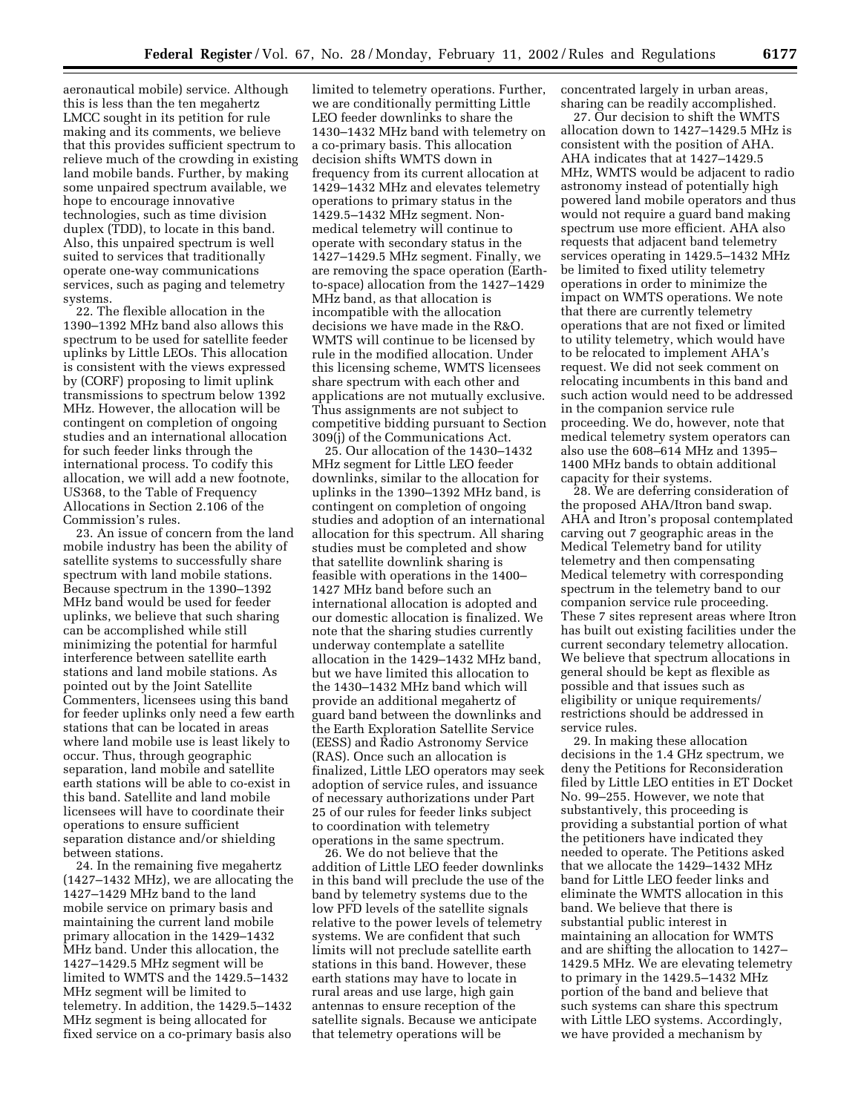aeronautical mobile) service. Although this is less than the ten megahertz LMCC sought in its petition for rule making and its comments, we believe that this provides sufficient spectrum to relieve much of the crowding in existing land mobile bands. Further, by making some unpaired spectrum available, we hope to encourage innovative technologies, such as time division duplex (TDD), to locate in this band. Also, this unpaired spectrum is well suited to services that traditionally operate one-way communications services, such as paging and telemetry systems.

22. The flexible allocation in the 1390–1392 MHz band also allows this spectrum to be used for satellite feeder uplinks by Little LEOs. This allocation is consistent with the views expressed by (CORF) proposing to limit uplink transmissions to spectrum below 1392 MHz. However, the allocation will be contingent on completion of ongoing studies and an international allocation for such feeder links through the international process. To codify this allocation, we will add a new footnote, US368, to the Table of Frequency Allocations in Section 2.106 of the Commission's rules.

23. An issue of concern from the land mobile industry has been the ability of satellite systems to successfully share spectrum with land mobile stations. Because spectrum in the 1390–1392 MHz band would be used for feeder uplinks, we believe that such sharing can be accomplished while still minimizing the potential for harmful interference between satellite earth stations and land mobile stations. As pointed out by the Joint Satellite Commenters, licensees using this band for feeder uplinks only need a few earth stations that can be located in areas where land mobile use is least likely to occur. Thus, through geographic separation, land mobile and satellite earth stations will be able to co-exist in this band. Satellite and land mobile licensees will have to coordinate their operations to ensure sufficient separation distance and/or shielding between stations.

24. In the remaining five megahertz (1427–1432 MHz), we are allocating the 1427–1429 MHz band to the land mobile service on primary basis and maintaining the current land mobile primary allocation in the 1429–1432 MHz band. Under this allocation, the 1427–1429.5 MHz segment will be limited to WMTS and the 1429.5–1432 MHz segment will be limited to telemetry. In addition, the 1429.5–1432 MHz segment is being allocated for fixed service on a co-primary basis also

limited to telemetry operations. Further, we are conditionally permitting Little LEO feeder downlinks to share the 1430–1432 MHz band with telemetry on a co-primary basis. This allocation decision shifts WMTS down in frequency from its current allocation at 1429–1432 MHz and elevates telemetry operations to primary status in the 1429.5–1432 MHz segment. Nonmedical telemetry will continue to operate with secondary status in the 1427–1429.5 MHz segment. Finally, we are removing the space operation (Earthto-space) allocation from the 1427–1429 MHz band, as that allocation is incompatible with the allocation decisions we have made in the R&O. WMTS will continue to be licensed by rule in the modified allocation. Under this licensing scheme, WMTS licensees share spectrum with each other and applications are not mutually exclusive. Thus assignments are not subject to competitive bidding pursuant to Section 309(j) of the Communications Act.

25. Our allocation of the 1430–1432 MHz segment for Little LEO feeder downlinks, similar to the allocation for uplinks in the 1390–1392 MHz band, is contingent on completion of ongoing studies and adoption of an international allocation for this spectrum. All sharing studies must be completed and show that satellite downlink sharing is feasible with operations in the 1400– 1427 MHz band before such an international allocation is adopted and our domestic allocation is finalized. We note that the sharing studies currently underway contemplate a satellite allocation in the 1429–1432 MHz band, but we have limited this allocation to the 1430–1432 MHz band which will provide an additional megahertz of guard band between the downlinks and the Earth Exploration Satellite Service (EESS) and Radio Astronomy Service (RAS). Once such an allocation is finalized, Little LEO operators may seek adoption of service rules, and issuance of necessary authorizations under Part 25 of our rules for feeder links subject to coordination with telemetry operations in the same spectrum.

26. We do not believe that the addition of Little LEO feeder downlinks in this band will preclude the use of the band by telemetry systems due to the low PFD levels of the satellite signals relative to the power levels of telemetry systems. We are confident that such limits will not preclude satellite earth stations in this band. However, these earth stations may have to locate in rural areas and use large, high gain antennas to ensure reception of the satellite signals. Because we anticipate that telemetry operations will be

concentrated largely in urban areas, sharing can be readily accomplished.

27. Our decision to shift the WMTS allocation down to 1427–1429.5 MHz is consistent with the position of AHA. AHA indicates that at 1427–1429.5 MHz, WMTS would be adjacent to radio astronomy instead of potentially high powered land mobile operators and thus would not require a guard band making spectrum use more efficient. AHA also requests that adjacent band telemetry services operating in 1429.5–1432 MHz be limited to fixed utility telemetry operations in order to minimize the impact on WMTS operations. We note that there are currently telemetry operations that are not fixed or limited to utility telemetry, which would have to be relocated to implement AHA's request. We did not seek comment on relocating incumbents in this band and such action would need to be addressed in the companion service rule proceeding. We do, however, note that medical telemetry system operators can also use the 608–614 MHz and 1395– 1400 MHz bands to obtain additional capacity for their systems.

28. We are deferring consideration of the proposed AHA/Itron band swap. AHA and Itron's proposal contemplated carving out 7 geographic areas in the Medical Telemetry band for utility telemetry and then compensating Medical telemetry with corresponding spectrum in the telemetry band to our companion service rule proceeding. These 7 sites represent areas where Itron has built out existing facilities under the current secondary telemetry allocation. We believe that spectrum allocations in general should be kept as flexible as possible and that issues such as eligibility or unique requirements/ restrictions should be addressed in service rules.

29. In making these allocation decisions in the 1.4 GHz spectrum, we deny the Petitions for Reconsideration filed by Little LEO entities in ET Docket No. 99–255. However, we note that substantively, this proceeding is providing a substantial portion of what the petitioners have indicated they needed to operate. The Petitions asked that we allocate the 1429–1432 MHz band for Little LEO feeder links and eliminate the WMTS allocation in this band. We believe that there is substantial public interest in maintaining an allocation for WMTS and are shifting the allocation to 1427– 1429.5 MHz. We are elevating telemetry to primary in the 1429.5–1432 MHz portion of the band and believe that such systems can share this spectrum with Little LEO systems. Accordingly, we have provided a mechanism by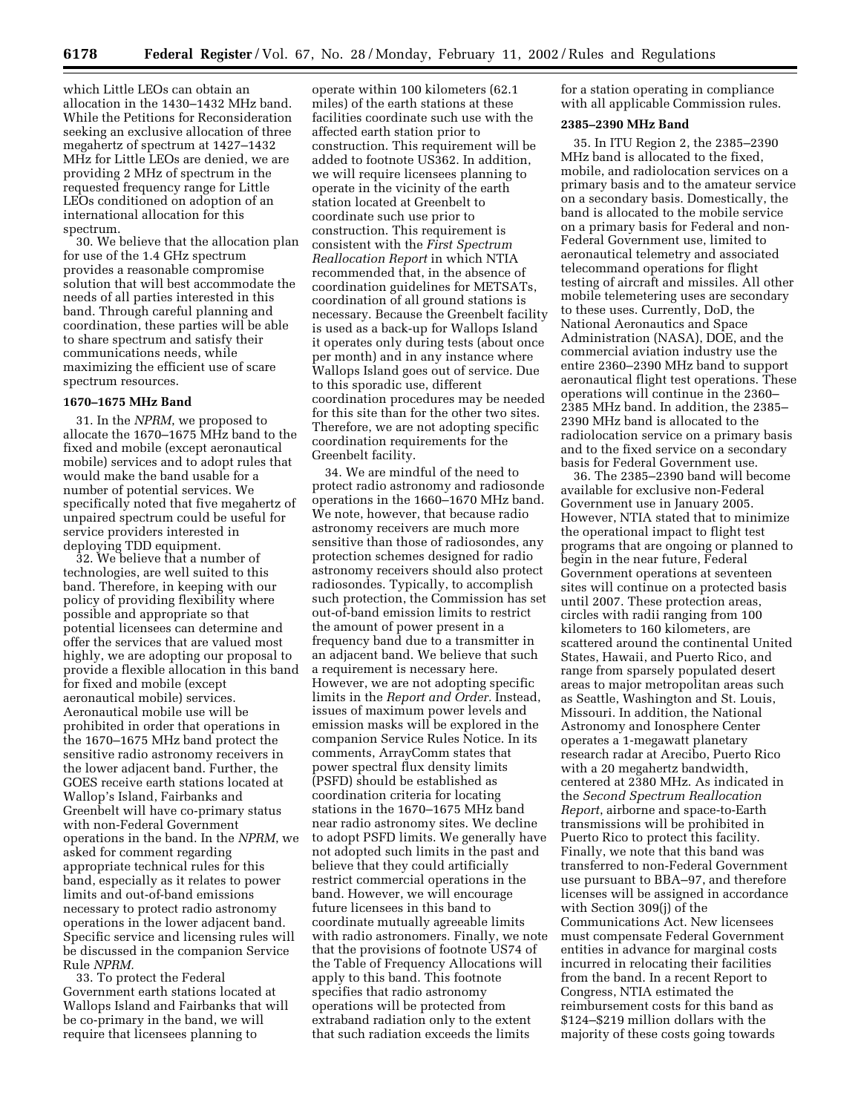which Little LEOs can obtain an allocation in the 1430–1432 MHz band. While the Petitions for Reconsideration seeking an exclusive allocation of three megahertz of spectrum at 1427–1432 MHz for Little LEOs are denied, we are providing 2 MHz of spectrum in the requested frequency range for Little LEOs conditioned on adoption of an international allocation for this spectrum.

30. We believe that the allocation plan for use of the 1.4 GHz spectrum provides a reasonable compromise solution that will best accommodate the needs of all parties interested in this band. Through careful planning and coordination, these parties will be able to share spectrum and satisfy their communications needs, while maximizing the efficient use of scare spectrum resources.

## **1670–1675 MHz Band**

31. In the *NPRM*, we proposed to allocate the 1670–1675 MHz band to the fixed and mobile (except aeronautical mobile) services and to adopt rules that would make the band usable for a number of potential services. We specifically noted that five megahertz of unpaired spectrum could be useful for service providers interested in deploying TDD equipment.

32. We believe that a number of technologies, are well suited to this band. Therefore, in keeping with our policy of providing flexibility where possible and appropriate so that potential licensees can determine and offer the services that are valued most highly, we are adopting our proposal to provide a flexible allocation in this band for fixed and mobile (except aeronautical mobile) services. Aeronautical mobile use will be prohibited in order that operations in the 1670–1675 MHz band protect the sensitive radio astronomy receivers in the lower adjacent band. Further, the GOES receive earth stations located at Wallop's Island, Fairbanks and Greenbelt will have co-primary status with non-Federal Government operations in the band. In the *NPRM*, we asked for comment regarding appropriate technical rules for this band, especially as it relates to power limits and out-of-band emissions necessary to protect radio astronomy operations in the lower adjacent band. Specific service and licensing rules will be discussed in the companion Service Rule *NPRM.*

33. To protect the Federal Government earth stations located at Wallops Island and Fairbanks that will be co-primary in the band, we will require that licensees planning to

operate within 100 kilometers (62.1 miles) of the earth stations at these facilities coordinate such use with the affected earth station prior to construction. This requirement will be added to footnote US362. In addition, we will require licensees planning to operate in the vicinity of the earth station located at Greenbelt to coordinate such use prior to construction. This requirement is consistent with the *First Spectrum Reallocation Report* in which NTIA recommended that, in the absence of coordination guidelines for METSATs, coordination of all ground stations is necessary. Because the Greenbelt facility is used as a back-up for Wallops Island it operates only during tests (about once per month) and in any instance where Wallops Island goes out of service. Due to this sporadic use, different coordination procedures may be needed for this site than for the other two sites. Therefore, we are not adopting specific coordination requirements for the Greenbelt facility.

34. We are mindful of the need to protect radio astronomy and radiosonde operations in the 1660–1670 MHz band. We note, however, that because radio astronomy receivers are much more sensitive than those of radiosondes, any protection schemes designed for radio astronomy receivers should also protect radiosondes. Typically, to accomplish such protection, the Commission has set out-of-band emission limits to restrict the amount of power present in a frequency band due to a transmitter in an adjacent band. We believe that such a requirement is necessary here. However, we are not adopting specific limits in the *Report and Order.* Instead, issues of maximum power levels and emission masks will be explored in the companion Service Rules Notice. In its comments, ArrayComm states that power spectral flux density limits (PSFD) should be established as coordination criteria for locating stations in the 1670–1675 MHz band near radio astronomy sites. We decline to adopt PSFD limits. We generally have not adopted such limits in the past and believe that they could artificially restrict commercial operations in the band. However, we will encourage future licensees in this band to coordinate mutually agreeable limits with radio astronomers. Finally, we note that the provisions of footnote US74 of the Table of Frequency Allocations will apply to this band. This footnote specifies that radio astronomy operations will be protected from extraband radiation only to the extent that such radiation exceeds the limits

for a station operating in compliance with all applicable Commission rules.

## **2385–2390 MHz Band**

35. In ITU Region 2, the 2385–2390 MHz band is allocated to the fixed, mobile, and radiolocation services on a primary basis and to the amateur service on a secondary basis. Domestically, the band is allocated to the mobile service on a primary basis for Federal and non-Federal Government use, limited to aeronautical telemetry and associated telecommand operations for flight testing of aircraft and missiles. All other mobile telemetering uses are secondary to these uses. Currently, DoD, the National Aeronautics and Space Administration (NASA), DOE, and the commercial aviation industry use the entire 2360–2390 MHz band to support aeronautical flight test operations. These operations will continue in the 2360– 2385 MHz band. In addition, the 2385– 2390 MHz band is allocated to the radiolocation service on a primary basis and to the fixed service on a secondary basis for Federal Government use.

36. The 2385–2390 band will become available for exclusive non-Federal Government use in January 2005. However, NTIA stated that to minimize the operational impact to flight test programs that are ongoing or planned to begin in the near future, Federal Government operations at seventeen sites will continue on a protected basis until 2007. These protection areas, circles with radii ranging from 100 kilometers to 160 kilometers, are scattered around the continental United States, Hawaii, and Puerto Rico, and range from sparsely populated desert areas to major metropolitan areas such as Seattle, Washington and St. Louis, Missouri. In addition, the National Astronomy and Ionosphere Center operates a 1-megawatt planetary research radar at Arecibo, Puerto Rico with a 20 megahertz bandwidth, centered at 2380 MHz. As indicated in the *Second Spectrum Reallocation Report*, airborne and space-to-Earth transmissions will be prohibited in Puerto Rico to protect this facility. Finally, we note that this band was transferred to non-Federal Government use pursuant to BBA–97, and therefore licenses will be assigned in accordance with Section 309(j) of the Communications Act. New licensees must compensate Federal Government entities in advance for marginal costs incurred in relocating their facilities from the band. In a recent Report to Congress, NTIA estimated the reimbursement costs for this band as \$124–\$219 million dollars with the majority of these costs going towards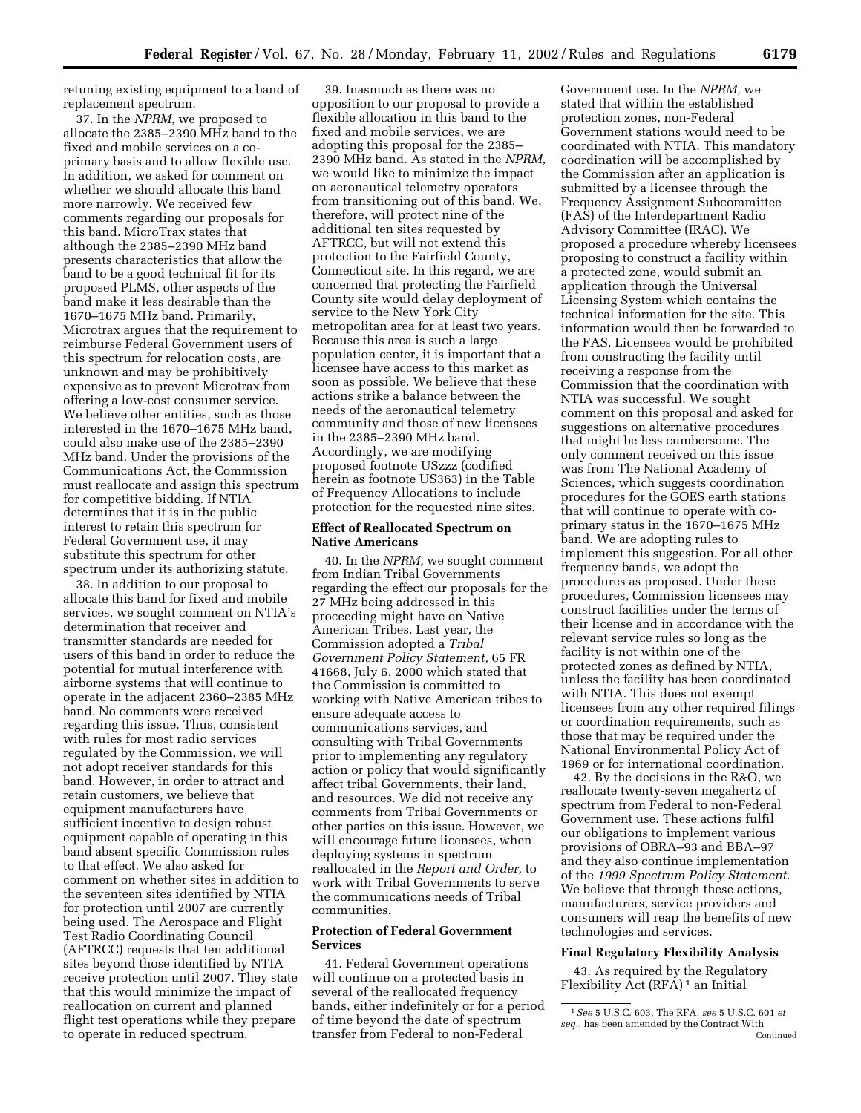retuning existing equipment to a band of replacement spectrum.

37. In the *NPRM*, we proposed to allocate the 2385–2390 MHz band to the fixed and mobile services on a coprimary basis and to allow flexible use. In addition, we asked for comment on whether we should allocate this band more narrowly. We received few comments regarding our proposals for this band. MicroTrax states that although the 2385–2390 MHz band presents characteristics that allow the band to be a good technical fit for its proposed PLMS, other aspects of the band make it less desirable than the 1670–1675 MHz band. Primarily, Microtrax argues that the requirement to reimburse Federal Government users of this spectrum for relocation costs, are unknown and may be prohibitively expensive as to prevent Microtrax from offering a low-cost consumer service. We believe other entities, such as those interested in the 1670–1675 MHz band, could also make use of the 2385–2390 MHz band. Under the provisions of the Communications Act, the Commission must reallocate and assign this spectrum for competitive bidding. If NTIA determines that it is in the public interest to retain this spectrum for Federal Government use, it may substitute this spectrum for other spectrum under its authorizing statute.

38. In addition to our proposal to allocate this band for fixed and mobile services, we sought comment on NTIA's determination that receiver and transmitter standards are needed for users of this band in order to reduce the potential for mutual interference with airborne systems that will continue to operate in the adjacent 2360–2385 MHz band. No comments were received regarding this issue. Thus, consistent with rules for most radio services regulated by the Commission, we will not adopt receiver standards for this band. However, in order to attract and retain customers, we believe that equipment manufacturers have sufficient incentive to design robust equipment capable of operating in this band absent specific Commission rules to that effect. We also asked for comment on whether sites in addition to the seventeen sites identified by NTIA for protection until 2007 are currently being used. The Aerospace and Flight Test Radio Coordinating Council (AFTRCC) requests that ten additional sites beyond those identified by NTIA receive protection until 2007. They state that this would minimize the impact of reallocation on current and planned flight test operations while they prepare to operate in reduced spectrum.

39. Inasmuch as there was no opposition to our proposal to provide a flexible allocation in this band to the fixed and mobile services, we are adopting this proposal for the 2385– 2390 MHz band. As stated in the *NPRM,* we would like to minimize the impact on aeronautical telemetry operators from transitioning out of this band. We, therefore, will protect nine of the additional ten sites requested by AFTRCC, but will not extend this protection to the Fairfield County, Connecticut site. In this regard, we are concerned that protecting the Fairfield County site would delay deployment of service to the New York City metropolitan area for at least two years. Because this area is such a large population center, it is important that a licensee have access to this market as soon as possible. We believe that these actions strike a balance between the needs of the aeronautical telemetry community and those of new licensees in the 2385–2390 MHz band. Accordingly, we are modifying proposed footnote USzzz (codified herein as footnote US363) in the Table of Frequency Allocations to include protection for the requested nine sites.

# **Effect of Reallocated Spectrum on Native Americans**

40. In the *NPRM,* we sought comment from Indian Tribal Governments regarding the effect our proposals for the 27 MHz being addressed in this proceeding might have on Native American Tribes. Last year, the Commission adopted a *Tribal Government Policy Statement,* 65 FR 41668, July 6, 2000 which stated that the Commission is committed to working with Native American tribes to ensure adequate access to communications services, and consulting with Tribal Governments prior to implementing any regulatory action or policy that would significantly affect tribal Governments, their land, and resources. We did not receive any comments from Tribal Governments or other parties on this issue. However, we will encourage future licensees, when deploying systems in spectrum reallocated in the *Report and Order,* to work with Tribal Governments to serve the communications needs of Tribal communities.

# **Protection of Federal Government Services**

41. Federal Government operations will continue on a protected basis in several of the reallocated frequency bands, either indefinitely or for a period of time beyond the date of spectrum transfer from Federal to non-Federal

Government use. In the *NPRM,* we stated that within the established protection zones, non-Federal Government stations would need to be coordinated with NTIA. This mandatory coordination will be accomplished by the Commission after an application is submitted by a licensee through the Frequency Assignment Subcommittee (FAS) of the Interdepartment Radio Advisory Committee (IRAC). We proposed a procedure whereby licensees proposing to construct a facility within a protected zone, would submit an application through the Universal Licensing System which contains the technical information for the site. This information would then be forwarded to the FAS. Licensees would be prohibited from constructing the facility until receiving a response from the Commission that the coordination with NTIA was successful. We sought comment on this proposal and asked for suggestions on alternative procedures that might be less cumbersome. The only comment received on this issue was from The National Academy of Sciences, which suggests coordination procedures for the GOES earth stations that will continue to operate with coprimary status in the 1670–1675 MHz band. We are adopting rules to implement this suggestion. For all other frequency bands, we adopt the procedures as proposed. Under these procedures, Commission licensees may construct facilities under the terms of their license and in accordance with the relevant service rules so long as the facility is not within one of the protected zones as defined by NTIA, unless the facility has been coordinated with NTIA. This does not exempt licensees from any other required filings or coordination requirements, such as those that may be required under the National Environmental Policy Act of 1969 or for international coordination.

42. By the decisions in the R&O, we reallocate twenty-seven megahertz of spectrum from Federal to non-Federal Government use. These actions fulfil our obligations to implement various provisions of OBRA–93 and BBA–97 and they also continue implementation of the *1999 Spectrum Policy Statement.* We believe that through these actions, manufacturers, service providers and consumers will reap the benefits of new technologies and services.

# **Final Regulatory Flexibility Analysis**

43. As required by the Regulatory Flexibility Act (RFA) 1 an Initial

<sup>1</sup>*See* 5 U.S.C. 603, The RFA, *see* 5 U.S.C. 601 *et seq.,* has been amended by the Contract With Continued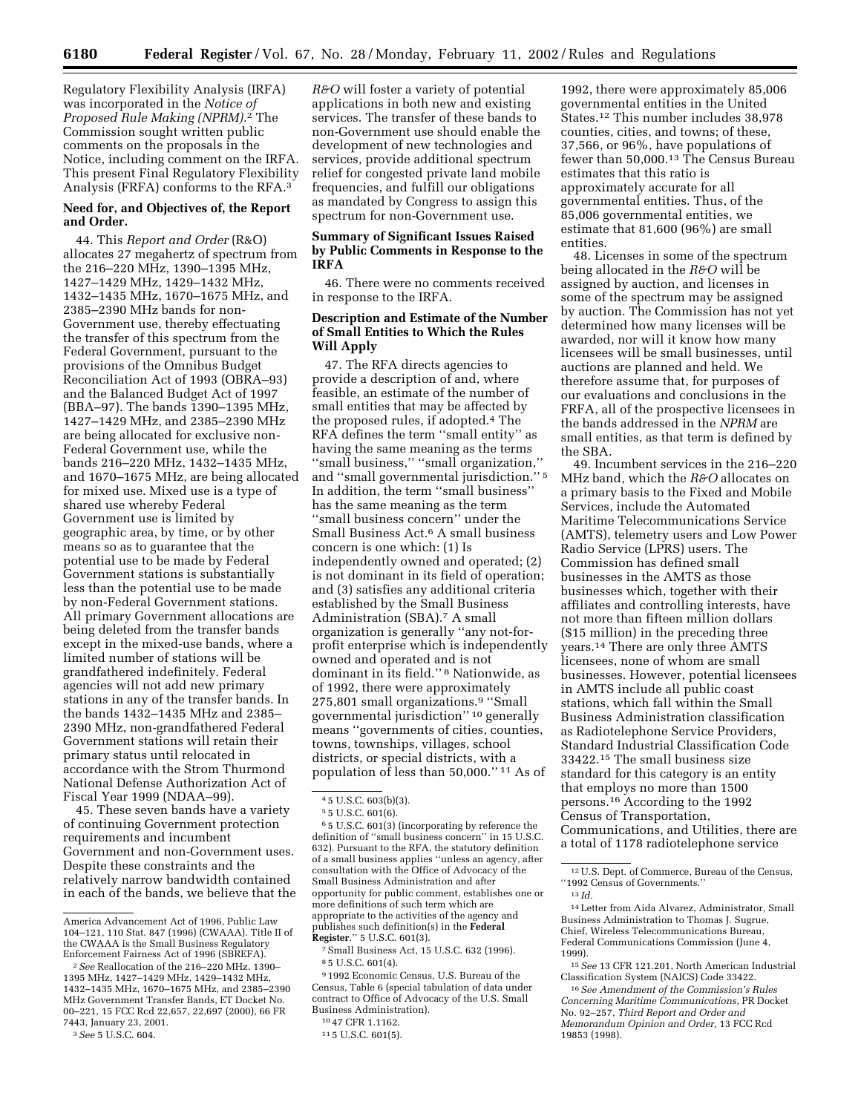Regulatory Flexibility Analysis (IRFA) was incorporated in the *Notice of Proposed Rule Making (NPRM).*2 The Commission sought written public comments on the proposals in the Notice, including comment on the IRFA. This present Final Regulatory Flexibility Analysis (FRFA) conforms to the RFA.3

# **Need for, and Objectives of, the Report and Order.**

44. This *Report and Order* (R&O) allocates 27 megahertz of spectrum from the 216–220 MHz, 1390–1395 MHz, 1427–1429 MHz, 1429–1432 MHz, 1432–1435 MHz, 1670–1675 MHz, and 2385–2390 MHz bands for non-Government use, thereby effectuating the transfer of this spectrum from the Federal Government, pursuant to the provisions of the Omnibus Budget Reconciliation Act of 1993 (OBRA–93) and the Balanced Budget Act of 1997 (BBA–97). The bands 1390–1395 MHz, 1427–1429 MHz, and 2385–2390 MHz are being allocated for exclusive non-Federal Government use, while the bands 216–220 MHz, 1432–1435 MHz, and 1670–1675 MHz, are being allocated for mixed use. Mixed use is a type of shared use whereby Federal Government use is limited by geographic area, by time, or by other means so as to guarantee that the potential use to be made by Federal Government stations is substantially less than the potential use to be made by non-Federal Government stations. All primary Government allocations are being deleted from the transfer bands except in the mixed-use bands, where a limited number of stations will be grandfathered indefinitely. Federal agencies will not add new primary stations in any of the transfer bands. In the bands 1432–1435 MHz and 2385– 2390 MHz, non-grandfathered Federal Government stations will retain their primary status until relocated in accordance with the Strom Thurmond National Defense Authorization Act of Fiscal Year 1999 (NDAA–99).

45. These seven bands have a variety of continuing Government protection requirements and incumbent Government and non-Government uses. Despite these constraints and the relatively narrow bandwidth contained in each of the bands, we believe that the

*R&O* will foster a variety of potential applications in both new and existing services. The transfer of these bands to non-Government use should enable the development of new technologies and services, provide additional spectrum relief for congested private land mobile frequencies, and fulfill our obligations as mandated by Congress to assign this spectrum for non-Government use.

## **Summary of Significant Issues Raised by Public Comments in Response to the IRFA**

46. There were no comments received in response to the IRFA.

# **Description and Estimate of the Number of Small Entities to Which the Rules Will Apply**

47. The RFA directs agencies to provide a description of and, where feasible, an estimate of the number of small entities that may be affected by the proposed rules, if adopted.4 The RFA defines the term ''small entity'' as having the same meaning as the terms ''small business,'' ''small organization,'' and ''small governmental jurisdiction.'' 5 In addition, the term ''small business'' has the same meaning as the term ''small business concern'' under the Small Business Act.6 A small business concern is one which: (1) Is independently owned and operated; (2) is not dominant in its field of operation; and (3) satisfies any additional criteria established by the Small Business Administration (SBA).7 A small organization is generally ''any not-forprofit enterprise which is independently owned and operated and is not dominant in its field.'' 8 Nationwide, as of 1992, there were approximately 275,801 small organizations.9 ''Small governmental jurisdiction'' 10 generally means ''governments of cities, counties, towns, townships, villages, school districts, or special districts, with a population of less than 50,000.'' 11 As of

6 5 U.S.C. 601(3) (incorporating by reference the definition of ''small business concern'' in 15 U.S.C. 632). Pursuant to the RFA, the statutory definition of a small business applies ''unless an agency, after consultation with the Office of Advocacy of the Small Business Administration and after opportunity for public comment, establishes one or more definitions of such term which are appropriate to the activities of the agency and publishes such definition(s) in the **Federal Register**.'' 5 U.S.C. 601(3).

7Small Business Act, 15 U.S.C. 632 (1996). 8 5 U.S.C. 601(4).

9 1992 Economic Census, U.S. Bureau of the Census, Table 6 (special tabulation of data under contract to Office of Advocacy of the U.S. Small Business Administration).

1992, there were approximately 85,006 governmental entities in the United States.12 This number includes 38,978 counties, cities, and towns; of these, 37,566, or 96%, have populations of fewer than 50,000.13 The Census Bureau estimates that this ratio is approximately accurate for all governmental entities. Thus, of the 85,006 governmental entities, we estimate that 81,600 (96%) are small entities.

48. Licenses in some of the spectrum being allocated in the *R&O* will be assigned by auction, and licenses in some of the spectrum may be assigned by auction. The Commission has not yet determined how many licenses will be awarded, nor will it know how many licensees will be small businesses, until auctions are planned and held. We therefore assume that, for purposes of our evaluations and conclusions in the FRFA, all of the prospective licensees in the bands addressed in the *NPRM* are small entities, as that term is defined by the SBA.

49. Incumbent services in the 216–220 MHz band, which the *R&O* allocates on a primary basis to the Fixed and Mobile Services, include the Automated Maritime Telecommunications Service (AMTS), telemetry users and Low Power Radio Service (LPRS) users. The Commission has defined small businesses in the AMTS as those businesses which, together with their affiliates and controlling interests, have not more than fifteen million dollars (\$15 million) in the preceding three years.14 There are only three AMTS licensees, none of whom are small businesses. However, potential licensees in AMTS include all public coast stations, which fall within the Small Business Administration classification as Radiotelephone Service Providers, Standard Industrial Classification Code 33422.15 The small business size standard for this category is an entity that employs no more than 1500 persons.16 According to the 1992 Census of Transportation, Communications, and Utilities, there are a total of 1178 radiotelephone service

12U.S. Dept. of Commerce, Bureau of the Census, ''1992 Census of Governments.''

13 *Id.*

14Letter from Aida Alvarez, Administrator, Small Business Administration to Thomas J. Sugrue, Chief, Wireless Telecommunications Bureau, Federal Communications Commission (June 4, 1999).

15*See* 13 CFR 121.201, North American Industrial Classification System (NAICS) Code 33422.

16*See Amendment of the Commission's Rules Concerning Maritime Communications,* PR Docket No. 92–257, *Third Report and Order and Memorandum Opinion and Order,* 13 FCC Rcd 19853 (1998).

America Advancement Act of 1996, Public Law 104–121, 110 Stat. 847 (1996) (CWAAA). Title II of the CWAAA is the Small Business Regulatory Enforcement Fairness Act of 1996 (SBREFA).

<sup>2</sup>*See* Reallocation of the 216–220 MHz, 1390– 1395 MHz, 1427–1429 MHz, 1429–1432 MHz, 1432–1435 MHz, 1670–1675 MHz, and 2385–2390 MHz Government Transfer Bands, ET Docket No. 00–221, 15 FCC Rcd 22,657, 22,697 (2000), 66 FR 7443, January 23, 2001.

<sup>3</sup>*See* 5 U.S.C. 604.

<sup>4</sup> 5 U.S.C. 603(b)(3).

<sup>5</sup> 5 U.S.C. 601(6).

<sup>10</sup> 47 CFR 1.1162.

<sup>11</sup> 5 U.S.C. 601(5).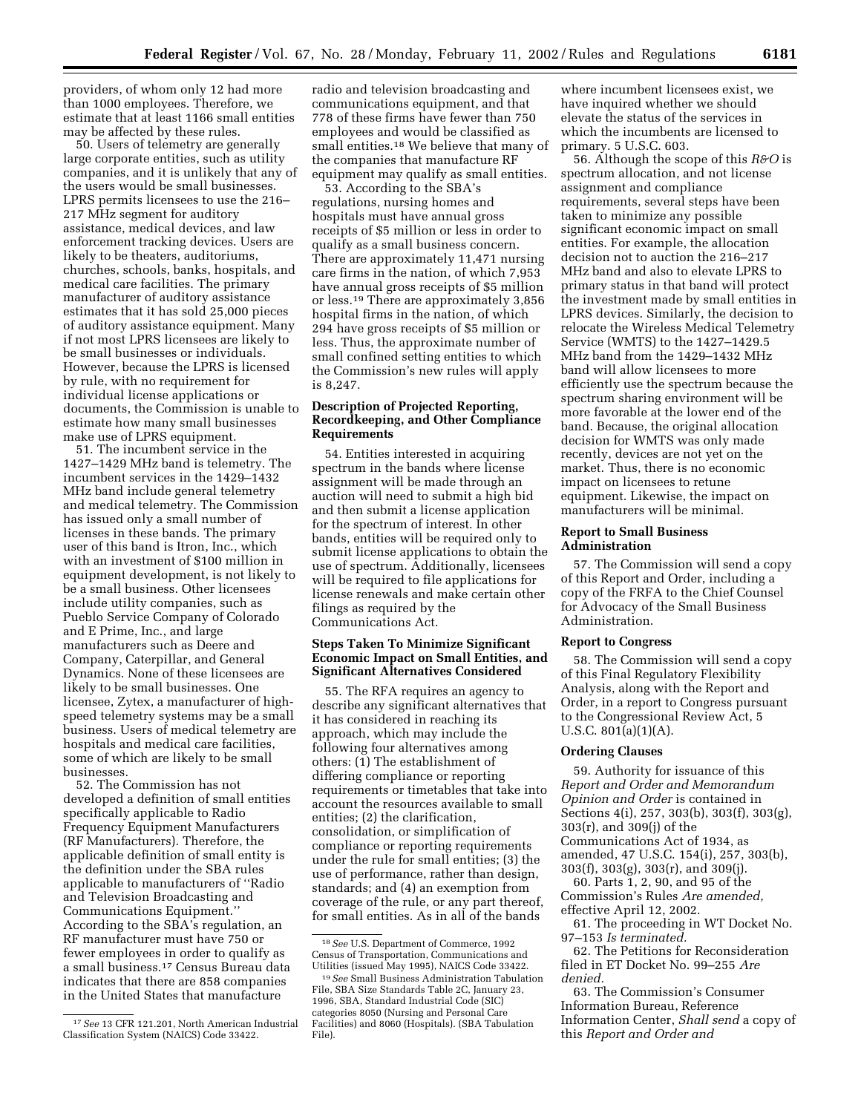providers, of whom only 12 had more than 1000 employees. Therefore, we estimate that at least 1166 small entities may be affected by these rules.

50. Users of telemetry are generally large corporate entities, such as utility companies, and it is unlikely that any of the users would be small businesses. LPRS permits licensees to use the 216– 217 MHz segment for auditory assistance, medical devices, and law enforcement tracking devices. Users are likely to be theaters, auditoriums, churches, schools, banks, hospitals, and medical care facilities. The primary manufacturer of auditory assistance estimates that it has sold 25,000 pieces of auditory assistance equipment. Many if not most LPRS licensees are likely to be small businesses or individuals. However, because the LPRS is licensed by rule, with no requirement for individual license applications or documents, the Commission is unable to estimate how many small businesses make use of LPRS equipment.

51. The incumbent service in the 1427–1429 MHz band is telemetry. The incumbent services in the 1429–1432 MHz band include general telemetry and medical telemetry. The Commission has issued only a small number of licenses in these bands. The primary user of this band is Itron, Inc., which with an investment of \$100 million in equipment development, is not likely to be a small business. Other licensees include utility companies, such as Pueblo Service Company of Colorado and E Prime, Inc., and large manufacturers such as Deere and Company, Caterpillar, and General Dynamics. None of these licensees are likely to be small businesses. One licensee, Zytex, a manufacturer of highspeed telemetry systems may be a small business. Users of medical telemetry are hospitals and medical care facilities, some of which are likely to be small businesses.

52. The Commission has not developed a definition of small entities specifically applicable to Radio Frequency Equipment Manufacturers (RF Manufacturers). Therefore, the applicable definition of small entity is the definition under the SBA rules applicable to manufacturers of ''Radio and Television Broadcasting and Communications Equipment.'' According to the SBA's regulation, an RF manufacturer must have 750 or fewer employees in order to qualify as a small business.17 Census Bureau data indicates that there are 858 companies in the United States that manufacture

radio and television broadcasting and communications equipment, and that 778 of these firms have fewer than 750 employees and would be classified as small entities.18 We believe that many of the companies that manufacture RF equipment may qualify as small entities.

53. According to the SBA's regulations, nursing homes and hospitals must have annual gross receipts of \$5 million or less in order to qualify as a small business concern. There are approximately 11,471 nursing care firms in the nation, of which 7,953 have annual gross receipts of \$5 million or less.19 There are approximately 3,856 hospital firms in the nation, of which 294 have gross receipts of \$5 million or less. Thus, the approximate number of small confined setting entities to which the Commission's new rules will apply is 8,247.

# **Description of Projected Reporting, Recordkeeping, and Other Compliance Requirements**

54. Entities interested in acquiring spectrum in the bands where license assignment will be made through an auction will need to submit a high bid and then submit a license application for the spectrum of interest. In other bands, entities will be required only to submit license applications to obtain the use of spectrum. Additionally, licensees will be required to file applications for license renewals and make certain other filings as required by the Communications Act.

# **Steps Taken To Minimize Significant Economic Impact on Small Entities, and Significant Alternatives Considered**

55. The RFA requires an agency to describe any significant alternatives that it has considered in reaching its approach, which may include the following four alternatives among others: (1) The establishment of differing compliance or reporting requirements or timetables that take into account the resources available to small entities; (2) the clarification, consolidation, or simplification of compliance or reporting requirements under the rule for small entities; (3) the use of performance, rather than design, standards; and (4) an exemption from coverage of the rule, or any part thereof, for small entities. As in all of the bands

where incumbent licensees exist, we have inquired whether we should elevate the status of the services in which the incumbents are licensed to primary. 5 U.S.C. 603.

56. Although the scope of this *R&O* is spectrum allocation, and not license assignment and compliance requirements, several steps have been taken to minimize any possible significant economic impact on small entities. For example, the allocation decision not to auction the 216–217 MHz band and also to elevate LPRS to primary status in that band will protect the investment made by small entities in LPRS devices. Similarly, the decision to relocate the Wireless Medical Telemetry Service (WMTS) to the 1427–1429.5 MHz band from the 1429–1432 MHz band will allow licensees to more efficiently use the spectrum because the spectrum sharing environment will be more favorable at the lower end of the band. Because, the original allocation decision for WMTS was only made recently, devices are not yet on the market. Thus, there is no economic impact on licensees to retune equipment. Likewise, the impact on manufacturers will be minimal.

# **Report to Small Business Administration**

57. The Commission will send a copy of this Report and Order, including a copy of the FRFA to the Chief Counsel for Advocacy of the Small Business Administration.

# **Report to Congress**

58. The Commission will send a copy of this Final Regulatory Flexibility Analysis, along with the Report and Order, in a report to Congress pursuant to the Congressional Review Act, 5 U.S.C. 801(a)(1)(A).

## **Ordering Clauses**

59. Authority for issuance of this *Report and Order and Memorandum Opinion and Order* is contained in Sections 4(i), 257, 303(b), 303(f), 303(g), 303(r), and 309(j) of the Communications Act of 1934, as

amended, 47 U.S.C. 154(i), 257, 303(b),

303(f), 303(g), 303(r), and 309(j). 60. Parts 1, 2, 90, and 95 of the

Commission's Rules *Are amended,* effective April 12, 2002.

61. The proceeding in WT Docket No. 97–153 *Is terminated.*

62. The Petitions for Reconsideration filed in ET Docket No. 99–255 *Are denied.*

63. The Commission's Consumer Information Bureau, Reference Information Center, *Shall send* a copy of this *Report and Order and*

<sup>17</sup>*See* 13 CFR 121.201, North American Industrial Classification System (NAICS) Code 33422.

<sup>18</sup>*See* U.S. Department of Commerce, 1992 Census of Transportation, Communications and Utilities (issued May 1995), NAICS Code 33422.

<sup>19</sup>*See* Small Business Administration Tabulation File, SBA Size Standards Table 2C, January 23, 1996, SBA, Standard Industrial Code (SIC) categories 8050 (Nursing and Personal Care Facilities) and 8060 (Hospitals). (SBA Tabulation File).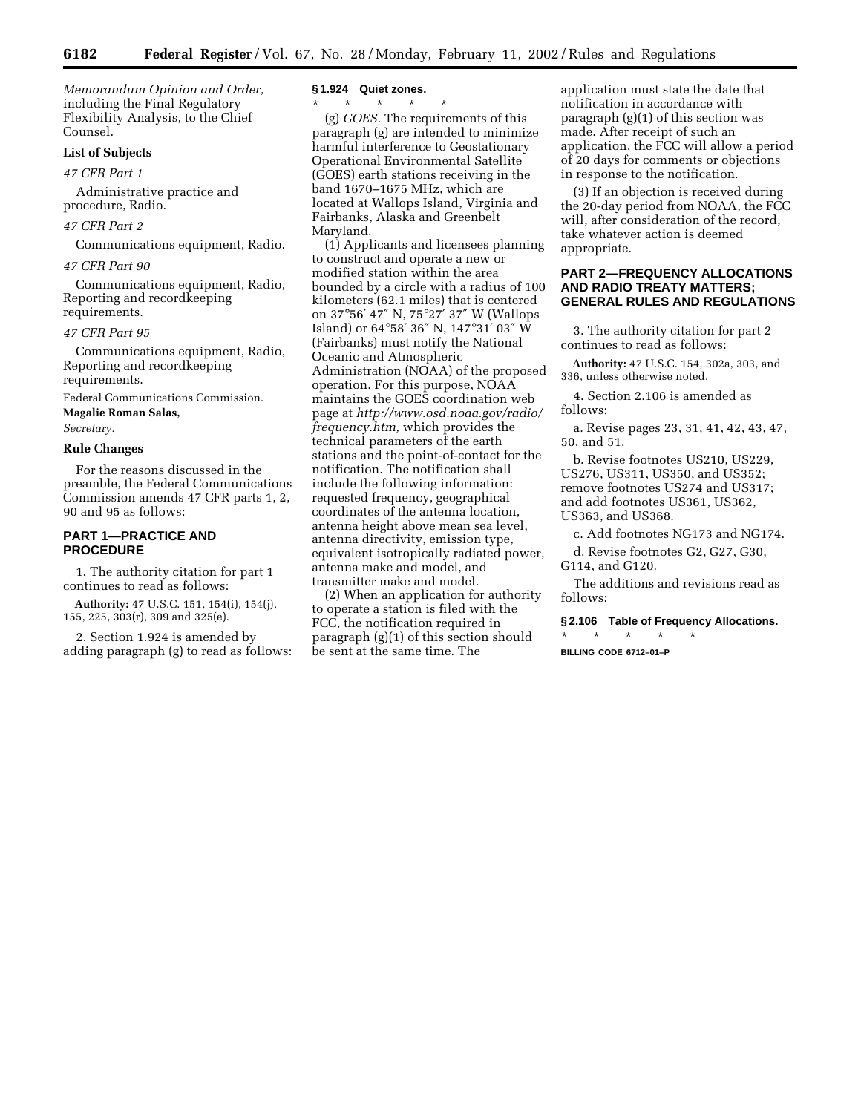*Memorandum Opinion and Order,* including the Final Regulatory Flexibility Analysis, to the Chief Counsel.

# **List of Subjects**

*47 CFR Part 1*

Administrative practice and procedure, Radio.

## *47 CFR Part 2*

Communications equipment, Radio.

## *47 CFR Part 90*

Communications equipment, Radio, Reporting and recordkeeping requirements.

## *47 CFR Part 95*

Communications equipment, Radio, Reporting and recordkeeping requirements.

Federal Communications Commission. **Magalie Roman Salas,**

*Secretary.*

## **Rule Changes**

For the reasons discussed in the preamble, the Federal Communications Commission amends 47 CFR parts 1, 2, 90 and 95 as follows:

# **PART 1—PRACTICE AND PROCEDURE**

1. The authority citation for part 1 continues to read as follows:

**Authority:** 47 U.S.C. 151, 154(i), 154(j), 155, 225, 303(r), 309 and 325(e).

2. Section 1.924 is amended by adding paragraph (g) to read as follows:

## **§ 1.924 Quiet zones.**

\* \* \* \* \*

(g) *GOES.* The requirements of this paragraph (g) are intended to minimize harmful interference to Geostationary Operational Environmental Satellite (GOES) earth stations receiving in the band 1670–1675 MHz, which are located at Wallops Island, Virginia and Fairbanks, Alaska and Greenbelt Maryland.

(1) Applicants and licensees planning to construct and operate a new or modified station within the area bounded by a circle with a radius of 100 kilometers (62.1 miles) that is centered on 37°56′ 47″ N, 75°27′ 37″ W (Wallops Island) or 64°58′ 36″ N, 147°31′ 03″ W (Fairbanks) must notify the National Oceanic and Atmospheric Administration (NOAA) of the proposed operation. For this purpose, NOAA maintains the GOES coordination web page at *http://www.osd.noaa.gov/radio/ frequency.htm,* which provides the technical parameters of the earth stations and the point-of-contact for the notification. The notification shall include the following information: requested frequency, geographical coordinates of the antenna location, antenna height above mean sea level, antenna directivity, emission type, equivalent isotropically radiated power, antenna make and model, and transmitter make and model.

(2) When an application for authority to operate a station is filed with the FCC, the notification required in paragraph (g)(1) of this section should be sent at the same time. The

application must state the date that notification in accordance with paragraph  $(g)(1)$  of this section was made. After receipt of such an application, the FCC will allow a period of 20 days for comments or objections in response to the notification.

(3) If an objection is received during the 20-day period from NOAA, the FCC will, after consideration of the record, take whatever action is deemed appropriate.

# **PART 2—FREQUENCY ALLOCATIONS AND RADIO TREATY MATTERS; GENERAL RULES AND REGULATIONS**

3. The authority citation for part 2 continues to read as follows:

**Authority:** 47 U.S.C. 154, 302a, 303, and 336, unless otherwise noted.

4. Section 2.106 is amended as follows:

a. Revise pages 23, 31, 41, 42, 43, 47, 50, and 51.

b. Revise footnotes US210, US229, US276, US311, US350, and US352; remove footnotes US274 and US317; and add footnotes US361, US362, US363, and US368.

c. Add footnotes NG173 and NG174.

d. Revise footnotes G2, G27, G30, G114, and G120.

The additions and revisions read as follows:

**§ 2.106 Table of Frequency Allocations.**

\* \* \* \* \* **BILLING CODE 6712–01–P**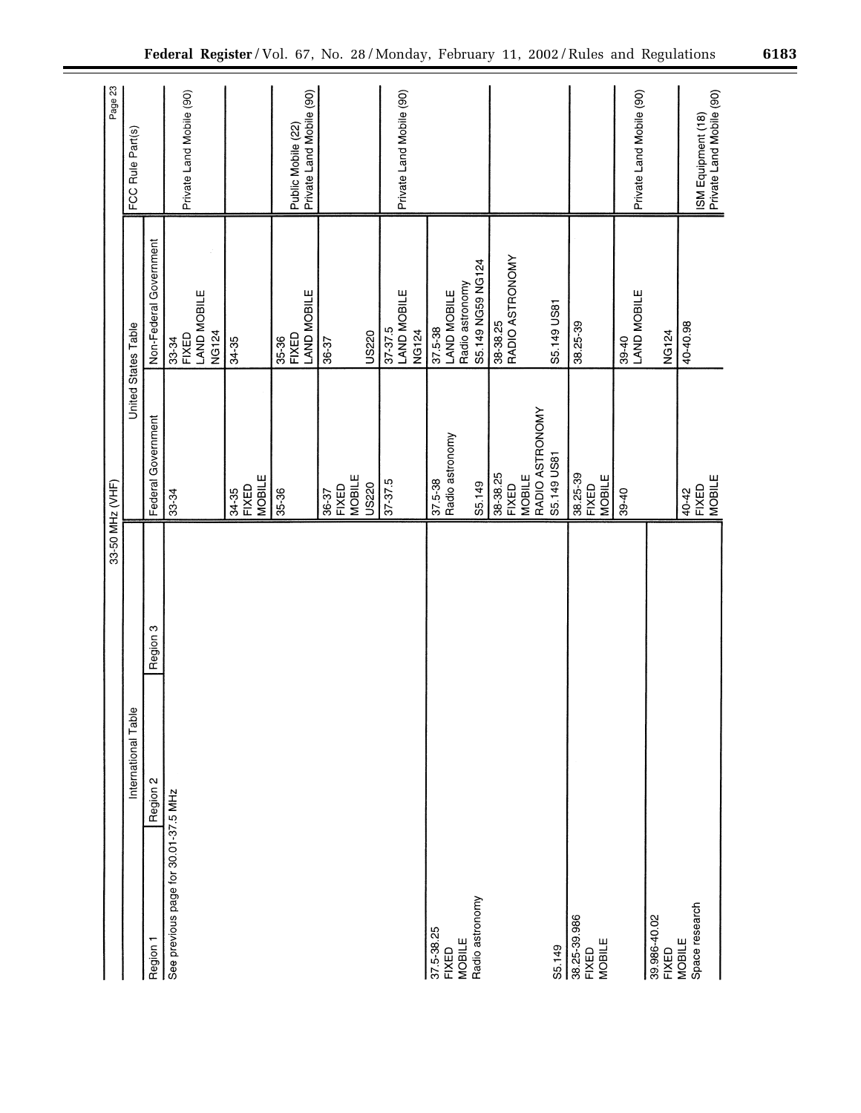|                                      |          | 33-50 MHz (VHF)               |                             | Page 23                                        |
|--------------------------------------|----------|-------------------------------|-----------------------------|------------------------------------------------|
| International Table                  |          |                               | United States Table         | FCC Rule Part(s)                               |
| Region 2<br>Region 1                 | Region 3 | Federal Government            | Non-Federal Government      |                                                |
| See previous page for 30.01-37.5 MHz |          | 33-34                         | 33-34                       |                                                |
|                                      |          |                               | LAND MOBILE<br><b>FIXED</b> | Private Land Mobile (90)                       |
|                                      |          |                               | <b>NG124</b>                |                                                |
|                                      |          | 34-35                         | 34-35                       |                                                |
|                                      |          | <b>MOBILE</b><br>FIXED        |                             |                                                |
|                                      |          | 35-36                         |                             |                                                |
|                                      |          |                               | <b>FIXED</b><br>35-36       | Public Mobile (22)                             |
|                                      |          |                               | LAND MOBILE                 | Private Land Mobile (90)                       |
|                                      |          | 36-37                         | 36-37                       |                                                |
|                                      |          | <b>MOBILE</b><br><b>FIXED</b> |                             |                                                |
|                                      |          | <b>US220</b>                  | US220                       |                                                |
|                                      |          | 37-37.5                       | 37-37.5                     |                                                |
|                                      |          |                               | LAND MOBILE                 | Private Land Mobile (90)                       |
|                                      |          |                               | <b>NG124</b>                |                                                |
| 37.5-38.25                           |          | 37.5-38                       | 37.5-38                     |                                                |
| FIXED<br>MOBILE                      |          | Radio astronomy               | LAND MOBILE                 |                                                |
|                                      |          |                               | Radio astronomy             |                                                |
| Radio astronomy                      |          | S5.149                        | S5.149 NG59 NG124           |                                                |
|                                      |          | 38-38.25                      | 38-38.25                    |                                                |
|                                      |          | <b>FIXED</b>                  | RADIO ASTRONOMY             |                                                |
|                                      |          | <b>MOBILE</b>                 |                             |                                                |
|                                      |          | RADIO ASTRONOMY               |                             |                                                |
| S5.149                               |          | S5.149 US81                   | S5.149 US81                 |                                                |
| 38.25-39.986                         |          | 38.25-39                      | 38.25-39                    |                                                |
| FIXED                                |          | FIXED                         |                             |                                                |
| MOBILE                               |          | MOBILE                        |                             |                                                |
|                                      |          | 39-40                         | 39-40<br>LAND MOBILE        |                                                |
|                                      |          |                               |                             | Private Land Mobile (90)                       |
| 39.986-40.02<br>FIXED                |          |                               | <b>NG124</b>                |                                                |
|                                      |          |                               |                             |                                                |
| Space research<br><b>MOBILE</b>      |          | 40-42                         | 40-40.98                    |                                                |
|                                      |          | FIXED<br>MOBILE               |                             | ISM Equipment (18)<br>Private Land Mobile (90) |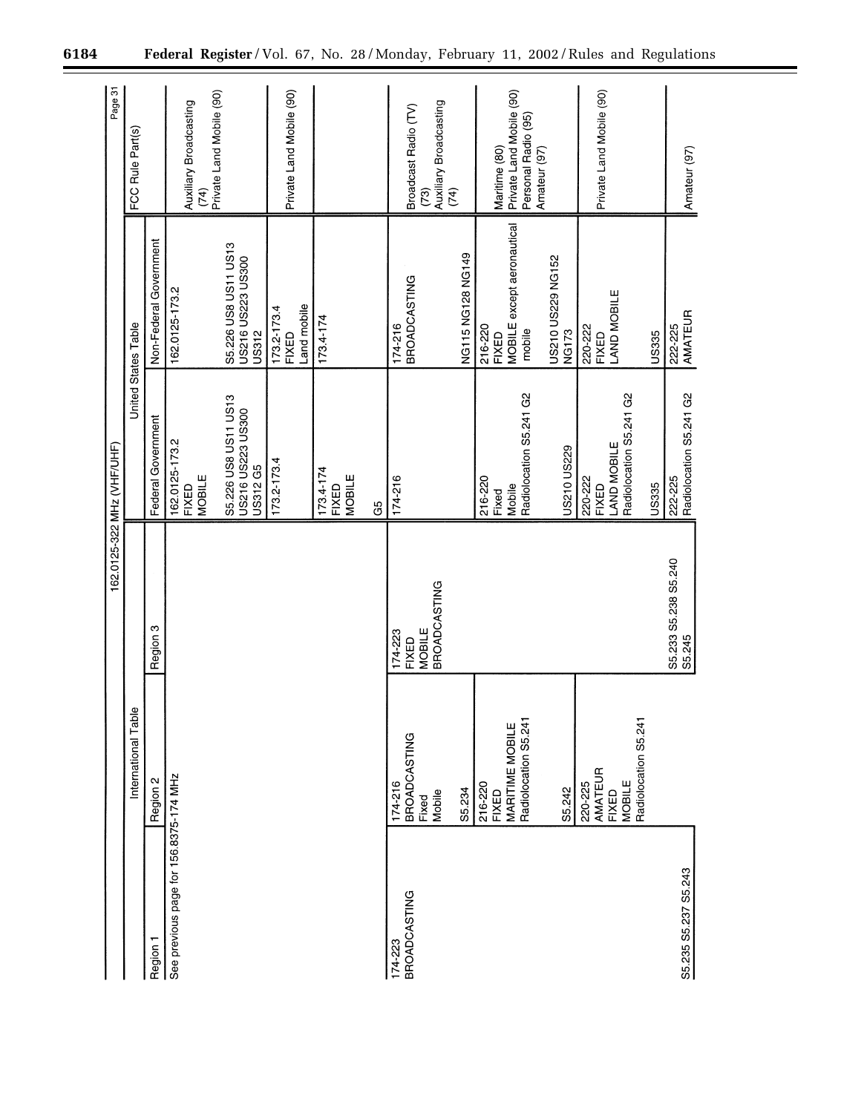|                                        |                                                                      |                                   | 162.0125-322 MHz (VHF/UHF)                                   |                                                          | Page 31                                                          |
|----------------------------------------|----------------------------------------------------------------------|-----------------------------------|--------------------------------------------------------------|----------------------------------------------------------|------------------------------------------------------------------|
|                                        | Φ<br>International Tabl                                              |                                   | United States Table                                          |                                                          | FCC Rule Part(s)                                                 |
| Region 1                               | Region 2                                                             | Region 3                          | Federal Government                                           | Non-Federal Government                                   |                                                                  |
| See previous page for 156.8375-174 MHz |                                                                      |                                   | 162.0125-173.2<br>MOBILE<br>FIXED                            | 162.0125-173.2                                           | Auxiliary Broadcasting<br>(74)                                   |
|                                        |                                                                      |                                   | S5.226 US8 US11 US13<br>US216 US223 US300<br><b>US312 G5</b> | S5.226 US8 US11 US13<br>US216 US223 US300<br>US312       | Private Land Mobile (90)                                         |
|                                        |                                                                      |                                   | 173.2-173.4                                                  | Land mobile<br>173.2-173.4<br><b>FIXED</b>               | Private Land Mobile (90)                                         |
|                                        |                                                                      |                                   | 173.4-174<br><b>MOBILE</b><br><b>FIXED</b>                   | $173.4 - 174$                                            |                                                                  |
|                                        |                                                                      |                                   | G5                                                           |                                                          |                                                                  |
| <b>BROADCASTING</b><br>174-223         | <b>BROADCASTING</b><br>174-216<br>Fixed                              | <b>MOBILE</b><br>174-223<br>FIXED | 174-216                                                      | <b>BROADCASTING</b><br>174-216                           | Broadcast Radio (TV)                                             |
|                                        | Mobile                                                               | <b>BROADCASTING</b>               |                                                              |                                                          | Auxiliary Broadcasting<br>(73)<br>(74)                           |
|                                        | S5.234                                                               |                                   |                                                              | NG115 NG128 NG149                                        |                                                                  |
|                                        | Radiolocation S5.241<br>MARITIME MOBILE<br>216-220<br><b>FIXED</b>   |                                   | Radiolocation S5.241 G2<br>216-220<br>Mobile<br>Fixed        | MOBILE except aeronautical<br>216-220<br>mobile<br>FIXED | Private Land Mobile (90)<br>Personal Radio (95)<br>Maritime (80) |
|                                        | S5.242                                                               |                                   | US210 US229                                                  | US210 US229 NG152<br><b>NG173</b>                        | Amateur (97)                                                     |
|                                        | Radiolocation S5.241<br>AMATEUR<br>MOBILE<br>220-225<br><b>FIXED</b> |                                   | Radiolocation S5.241 G2<br>LAND MOBILE<br>220-222<br>FIXED   | AND MOBILE<br>220-222<br>FIXED                           | Private Land Mobile (90)                                         |
|                                        |                                                                      |                                   | <b>US335</b>                                                 | US335                                                    |                                                                  |
| S5.235 S5.237 S5.243                   |                                                                      | S5.233 S5.238 S5.240<br>S5.245    | Radiolocation S5.241 G2<br>222-225                           | AMATEUR<br>222-225                                       | Amateur (97)                                                     |

÷.

 $\equiv$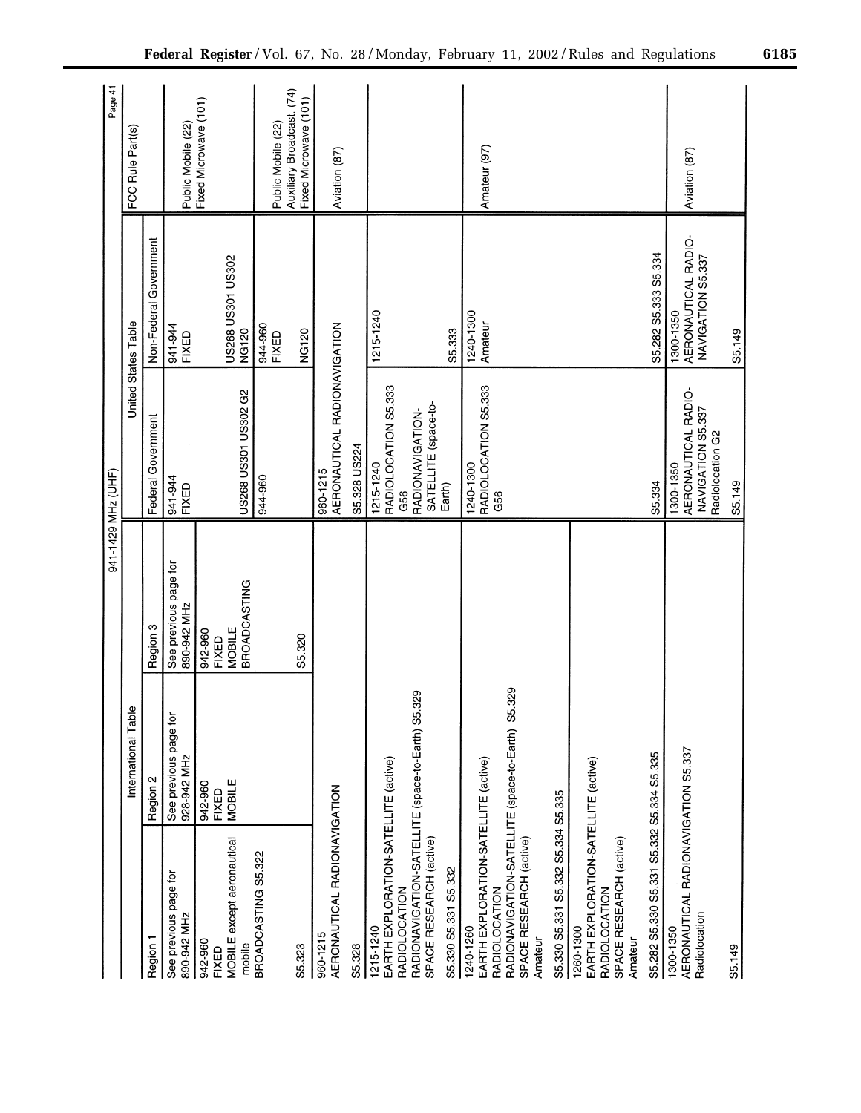|                                                                                                                                                              |                                      | 941-1429 MHz (UHF)                                       |                                                                           |                                                       | Page 41                                                                  |
|--------------------------------------------------------------------------------------------------------------------------------------------------------------|--------------------------------------|----------------------------------------------------------|---------------------------------------------------------------------------|-------------------------------------------------------|--------------------------------------------------------------------------|
|                                                                                                                                                              | International Table                  |                                                          | United States Table                                                       |                                                       | FCC Rule Part(s)                                                         |
| Region 1                                                                                                                                                     | Region 2                             | Region 3                                                 | Federal Government                                                        | Non-Federal Government                                |                                                                          |
| See previous page for<br>890-942 MHz                                                                                                                         | See previous page for<br>928-942 MHz | See previous page for<br>890-942 MHz                     | 941-944<br>FIXED                                                          | 941-944<br>FIXED                                      | Public Mobile (22)                                                       |
| MOBILE except aeronautical<br>942-960<br>mobile<br><b>FIXED</b>                                                                                              | MOBILE<br>942-960<br><b>FIXED</b>    | <b>BROADCASTING</b><br><b>MOBILE</b><br>942-960<br>FIXED | US268 US301 US302 G2                                                      | US268 US301 US302<br>NG120                            | Fixed Microwave (101)                                                    |
| BROADCASTING S5.322<br>S5.323                                                                                                                                |                                      | S5.320                                                   | 944-960                                                                   | 944-960<br>NG120<br>FIXED                             | Auxiliary Broadcast. (74)<br>Fixed Microwave (101)<br>Public Mobile (22) |
| AERONAUTICAL RADIONAVIGATION<br>960-1215                                                                                                                     |                                      |                                                          | AERONAUTICAL RADIONAVIGATION<br>960-1215                                  |                                                       | Aviation (87)                                                            |
| S5.328                                                                                                                                                       |                                      |                                                          | S5.328 US224                                                              |                                                       |                                                                          |
| EARTH EXPLORATION-SATELLITE (active)<br><b>RADIOLOCATION</b><br>1215-1240                                                                                    |                                      |                                                          | RADIOLOCATION S5.333<br>1215-1240<br>G56                                  | 1215-1240                                             |                                                                          |
| RADIONAVIGATION-SATELLITE (space-to-Earth) S5.329<br>SPACE RESEARCH (active)                                                                                 |                                      |                                                          | SATELLITE (space-to-<br>RADIONAVIGATION-                                  |                                                       |                                                                          |
| S5.330 S5.331 S5.332                                                                                                                                         |                                      |                                                          | Earth)                                                                    | S5.333                                                |                                                                          |
| RADIONAVIGATION-SATELLITE (space-to-Earth) S5.329<br>EARTH EXPLORATION-SATELLITE (active)<br>SPACE RESEARCH (active)<br>RADIOLOCATION<br>240-1260<br>Amateur |                                      |                                                          | RADIOLOCATION S5.333<br>1240-1300<br>G56                                  | 1240-1300<br>Amateur                                  | Amateur (97)                                                             |
| S5.330 S5.331 S5.332 S5.334 S5.335                                                                                                                           |                                      |                                                          |                                                                           |                                                       |                                                                          |
| EARTH EXPLORATION-SATELLITE (active)<br>SPACE RESEARCH (active)<br>RADIOLOCATION<br>1260-1300<br>Amateur                                                     |                                      |                                                          |                                                                           |                                                       |                                                                          |
| S5.282 S5.330 S5.331 S5.332 S5.334 S5.335                                                                                                                    |                                      |                                                          | S5.334                                                                    | S5.282 S5.333 S5.334                                  |                                                                          |
| AERONAUTICAL RADIONAVIGATION S5.337<br>Radiolocation<br>1300-1350                                                                                            |                                      |                                                          | AERONAUTICAL RADIO-<br>NAVIGATION S5.337<br>Radiolocation G2<br>1300-1350 | AERONAUTICAL RADIO-<br>NAVIGATION S5.337<br>1300-1350 | Aviation (87)                                                            |
| S5.149                                                                                                                                                       |                                      |                                                          | S5.149                                                                    | S5.149                                                |                                                                          |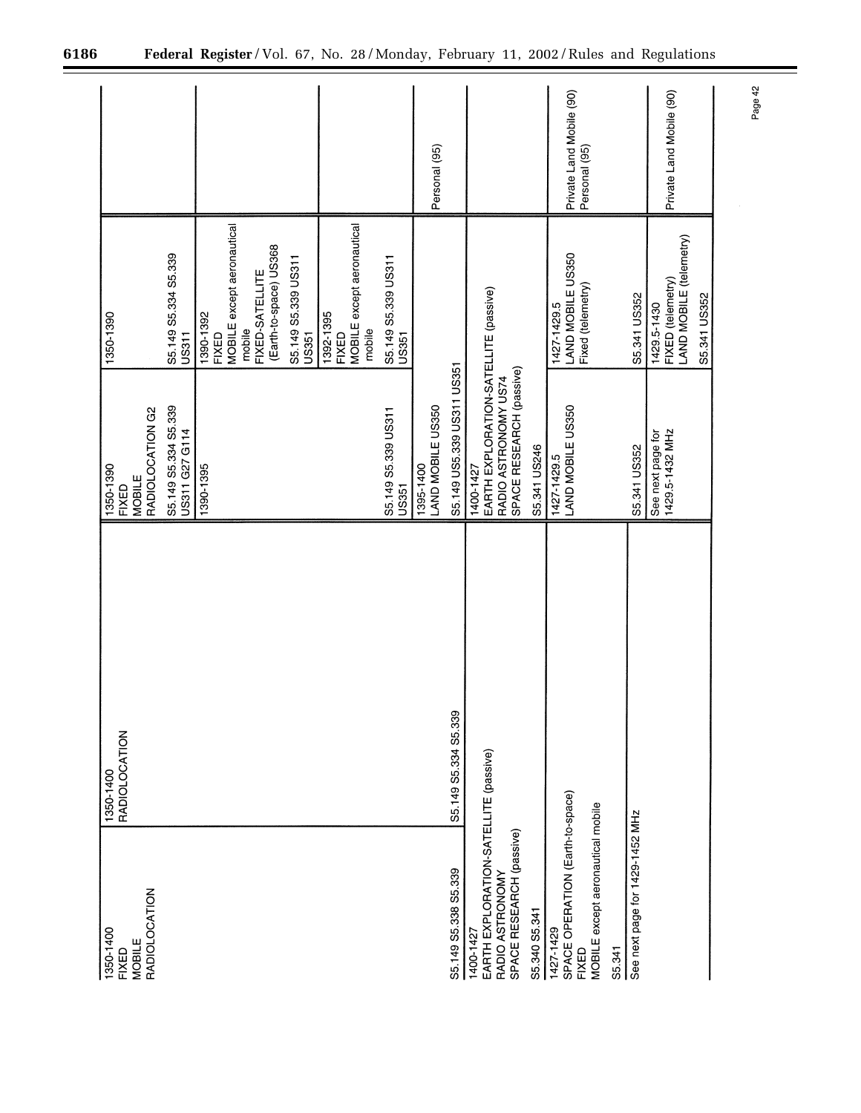| 1350-1400<br><b>FIXED</b>                                                                         | <b>RADIOLOCATION</b><br>1350-1400 | 1350-1390<br><b>FIXED</b>                                                                              | 1350-1390                                                                 |                                           |
|---------------------------------------------------------------------------------------------------|-----------------------------------|--------------------------------------------------------------------------------------------------------|---------------------------------------------------------------------------|-------------------------------------------|
| <b>RADIOLOCATION</b><br>MOBILE                                                                    |                                   | RADIOLOCATION G2<br><b>MOBILE</b>                                                                      |                                                                           |                                           |
|                                                                                                   |                                   | S5.149 S5.334 S5.339<br>US311 G27 G114                                                                 | S5.149 S5.334 S5.339<br><b>US311</b>                                      |                                           |
|                                                                                                   |                                   | 1390-1395                                                                                              | MOBILE except aeronautical<br>1390-1392<br>mobile<br>FIXED                |                                           |
|                                                                                                   |                                   |                                                                                                        | (Earth-to-space) US368<br>S5.149 S5.339 US311<br>FIXED-SATELLITE<br>US351 |                                           |
|                                                                                                   |                                   |                                                                                                        | MOBILE except aeronautical<br>1392-1395<br>mobile<br>FIXED                |                                           |
|                                                                                                   |                                   | S5.149 S5.339 US311<br><b>US351</b>                                                                    | S5.149 S5.339 US311<br>US351                                              |                                           |
|                                                                                                   |                                   | LAND MOBILE US350<br>1395-1400                                                                         |                                                                           | Personal (95)                             |
| S5.149 S5.338 S5.339                                                                              | S5.149 S5.334 S5.339              | S5.149 US5.339 US311 US351                                                                             |                                                                           |                                           |
| EARTH EXPLORATION-SATELLITE (passive)<br>SPACE RESEARCH (passive)<br>RADIO ASTRONOMY<br>1400-1427 |                                   | EARTH EXPLORATION-SATELLITE (passive)<br>SPACE RESEARCH (passive)<br>RADIO ASTRONOMY US74<br>1400-1427 |                                                                           |                                           |
| S5.340 S5.341                                                                                     |                                   | S5.341 US246                                                                                           |                                                                           |                                           |
| SPACE OPERATION (Earth-to-space)<br>MOBILE except aeronautical mobile<br>1427-1429<br>FIXED       |                                   | LAND MOBILE US350<br>1427-1429.5                                                                       | LAND MOBILE US350<br>Fixed (telemetry)<br>1427-1429.5                     | Private Land Mobile (90)<br>Personal (95) |
| S5.341                                                                                            |                                   |                                                                                                        |                                                                           |                                           |
| See next page for 1429-1452 MHz                                                                   |                                   | S5.341 US352                                                                                           | S5.341 US352                                                              |                                           |
|                                                                                                   |                                   | 1429.5-1432 MHz<br>See next page for                                                                   | FIXED (telemetry)<br>LAND MOBILE (telemetry)<br>1429.5-1430               | Private Land Mobile (90)                  |
|                                                                                                   |                                   |                                                                                                        | S5.341 US352                                                              |                                           |

 $\equiv$ 

Page 42

÷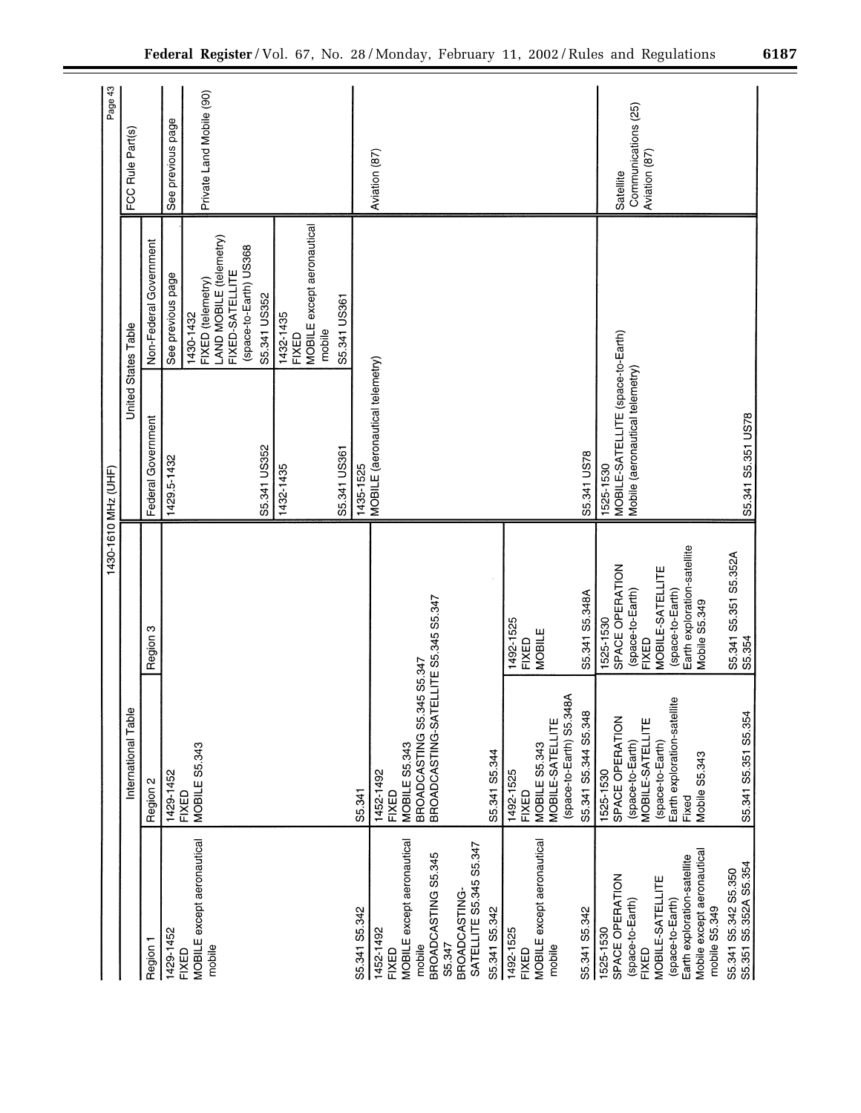|                                                                            |                                             |                                              | 1430-1610 MHz (UHF)                            |                                                                                                        | Page 43                              |
|----------------------------------------------------------------------------|---------------------------------------------|----------------------------------------------|------------------------------------------------|--------------------------------------------------------------------------------------------------------|--------------------------------------|
|                                                                            | International Table                         |                                              | United States Table                            |                                                                                                        | FCC Rule Part(s)                     |
| Region 1                                                                   | Region 2                                    | Region 3                                     | Federal Government                             | Non-Federal Government                                                                                 |                                      |
| 1429-1452                                                                  | 1429-1452                                   |                                              | 1429.5-1432                                    | See previous page                                                                                      | See previous page                    |
| MOBILE except aeronautical<br>mobile<br>FIXED                              | MOBILE S5.343<br><b>FIXED</b>               |                                              |                                                | LAND MOBILE (telemetry)<br>(space-to-Earth) US368<br>FIXED-SATELLITE<br>FIXED (telemetry)<br>1430-1432 | Private Land Mobile (90)             |
|                                                                            |                                             |                                              | S5.341 US352                                   | S5.341 US352                                                                                           |                                      |
|                                                                            |                                             |                                              | 1432-1435                                      | MOBILE except aeronautical<br>1432-1435<br>mobile<br><b>FIXED</b>                                      |                                      |
|                                                                            |                                             |                                              | S5.341 US361                                   | S5.341 US361                                                                                           |                                      |
| S5.341 S5.342                                                              | S5.341                                      |                                              | 1435-1525                                      |                                                                                                        |                                      |
| 1452-1492<br><b>FIXED</b>                                                  | 1452-1492<br>FIXED                          |                                              | MOBILE (aeronautical telemetry)                |                                                                                                        | Aviation (87)                        |
| MOBILE except aeronautical<br>mobile                                       | BROADCASTING S5.345 S5.347<br>MOBILE S5.343 |                                              |                                                |                                                                                                        |                                      |
| BROADCASTING S5.345                                                        | BROADCASTING-SATELLITE S5.345 S5.347        |                                              |                                                |                                                                                                        |                                      |
| SATELLITE S5.345 S5.347<br>BROADCASTING<br>S5.347                          |                                             |                                              |                                                |                                                                                                        |                                      |
| S5.341 S5.342                                                              | S5.341 S5.344                               |                                              |                                                |                                                                                                        |                                      |
| 1492-1525<br>FIXED                                                         | 1492-1525<br>FIXED                          | 1492-1525<br>FIXED                           |                                                |                                                                                                        |                                      |
| MOBILE except aeronautical<br>mobile                                       | MOBILE-SATELLITE<br>MOBILE S5.343           | MOBILE                                       |                                                |                                                                                                        |                                      |
|                                                                            | (space-to-Earth) S5.348A                    |                                              |                                                |                                                                                                        |                                      |
| S5.341 S5.342                                                              | S5.341 S5.344 S5.348                        | S5.341 S5.348A                               | S5.341 US78                                    |                                                                                                        |                                      |
| SPACE OPERATION<br>1525-1530                                               | SPACE OPERATION<br>1525-1530                | SPACE OPERATION<br>1525-1530                 | MOBILE-SATELLITE (space-to-Earth)<br>1525-1530 |                                                                                                        | Satellite                            |
| (space-to-Earth)<br>FIXED                                                  | Ë<br>MOBILE-SATELLI<br>(space-to-Earth)     | (space-to-Earth)<br>FIXED                    | Mobile (aeronautical telemetry)                |                                                                                                        | Communications (25)<br>Aviation (87) |
| MOBILE-SATELLITE                                                           | (space-to-Earth)                            | MOBILE-SATELLITE                             |                                                |                                                                                                        |                                      |
| (space-to-Earth)                                                           | Earth exploration-satellite                 | (space-to-Earth)                             |                                                |                                                                                                        |                                      |
| Mobile except aeronautical<br>Earth exploration-satellite<br>mobile S5.349 | Mobile S5.343<br>Fixed                      | Earth exploration-satellite<br>Mobile S5.349 |                                                |                                                                                                        |                                      |
| S5.351 S5.352A S5.354<br>S5.341 S5.342 S5.350                              | S5.341 S5.351 S5.354                        | S5.341 S5.351 S5.352A<br>S5.354              | S5.341 S5.351 US78                             |                                                                                                        |                                      |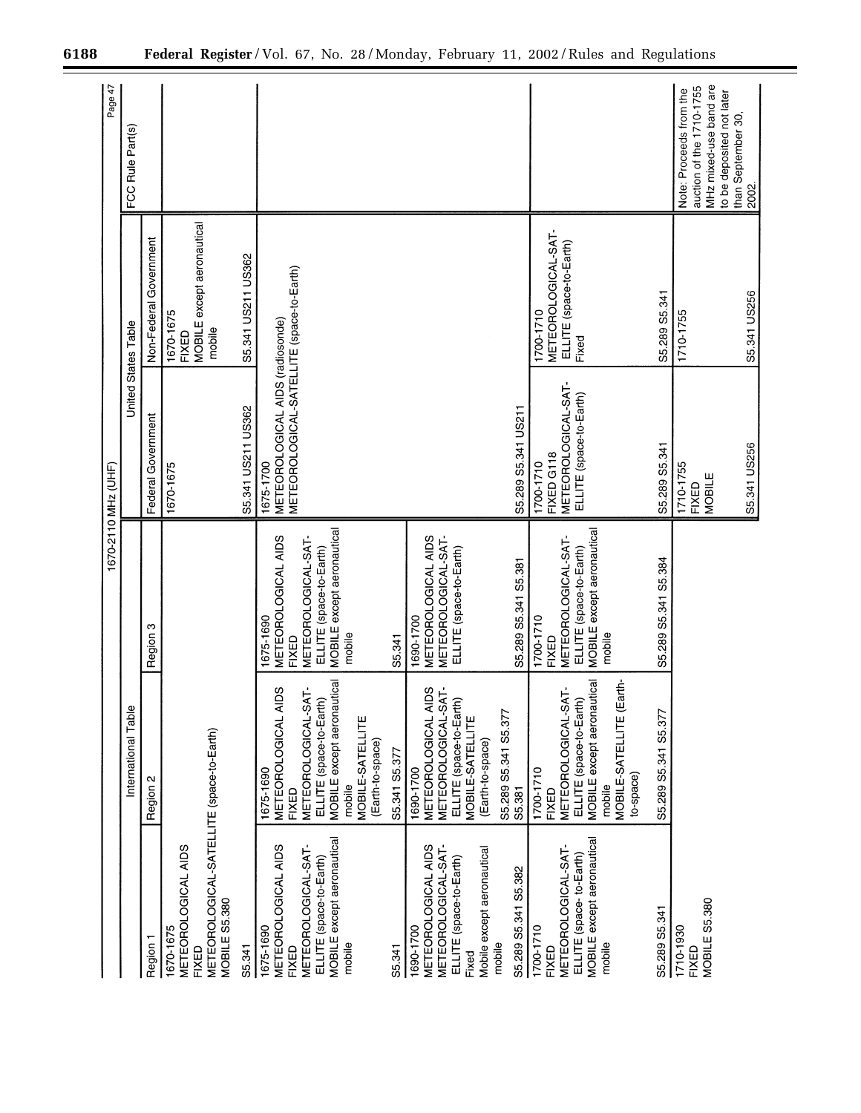|                                                                                                                          |                                                                                                                                                              | 1670-2110 MHz (UHF)                                                                                                 |                                                                                            |                                                                      | Page 47                                                                                                    |
|--------------------------------------------------------------------------------------------------------------------------|--------------------------------------------------------------------------------------------------------------------------------------------------------------|---------------------------------------------------------------------------------------------------------------------|--------------------------------------------------------------------------------------------|----------------------------------------------------------------------|------------------------------------------------------------------------------------------------------------|
|                                                                                                                          | International Table                                                                                                                                          |                                                                                                                     | United States Table                                                                        |                                                                      | FCC Rule Part(s)                                                                                           |
| Region 1                                                                                                                 | Region 2                                                                                                                                                     | Region 3                                                                                                            | Federal Government                                                                         | Non-Federal Government                                               |                                                                                                            |
| METEOROLOGICAL-SATELLITE (space-to-Earth)<br>METEOROLOGICAL AIDS<br>MOBILE S5.380<br>1670-1675<br>FIXED                  |                                                                                                                                                              |                                                                                                                     | 1670-1675                                                                                  | MOBILE except aeronautical<br>1670-1675<br>mobile<br><b>FIXED</b>    |                                                                                                            |
| S5.341                                                                                                                   |                                                                                                                                                              |                                                                                                                     | S5.341 US211 US362                                                                         | S5.341 US211 US362                                                   |                                                                                                            |
| METEOROLOGICAL AIDS<br>1675-1690<br>FIXED                                                                                | METEOROLOGICAL AIDS<br>1675-1690<br><b>FIXED</b>                                                                                                             | METEOROLOGICAL AIDS<br>1675-1690<br>FIXED                                                                           | METEOROLOGICAL-SATELLITE (space-to-Earth)<br>METEOROLOGICAL AIDS (radiosonde)<br>1675-1700 |                                                                      |                                                                                                            |
| MOBILE except aeronautical<br>METEOROLOGICAL-SAT-<br>ELLITE (space-to-Earth)<br>mobile                                   | <b>MOBILE</b> except aeronautical<br>METEOROLOGICAL-SAT-<br>ELLITE (space-to-Earth)<br>MOBILE-SATELLITE<br>(Earth-to-space)<br>mobile                        | MOBILE except aeronautical<br>METEOROLOGICAL-SAT-<br>ELLITE (space-to-Earth)<br>mobile                              |                                                                                            |                                                                      |                                                                                                            |
| S5.341                                                                                                                   | S5.341 S5.377                                                                                                                                                | S5.341                                                                                                              |                                                                                            |                                                                      |                                                                                                            |
| METEOROLOGICAL AIDS<br>METEOROLOGICAL SAT<br>Mobile except aeronautical<br>ELLITE (space-to-Earth)<br>1690-1700<br>Fixed | METEOROLOGICAL AIDS<br>METEOROLOGICAL-SAT-<br>ELLITE (space-to-Earth)<br>MOBILE-SATELLITE<br>(Earth-to-space)<br>1690-1700                                   | METEOROLOGICAL-SAT-<br>METEOROLOGICAL AIDS<br>ELLITE (space-to-Earth)<br>1690-1700                                  |                                                                                            |                                                                      |                                                                                                            |
| S5.289 S5.341 S5.382<br>mobile                                                                                           | S5.289 S5.341 S5.377<br>S5.381                                                                                                                               | S5.289 S5.341 S5.381                                                                                                | S5.289 S5.341 US211                                                                        |                                                                      |                                                                                                            |
| <b>MOBILE</b> except aeronautical<br>METEOROLOGICAL-SAT-<br>ELLITE (space-to-Earth)<br>1700-1710<br>mobile<br>FIXED      | MOBILE except aeronautical<br>MOBILE-SATELLITE (Earth-<br>METEOROLOGICAL-SAT-<br>ELLITE (space-to-Earth)<br>1700-1710<br>to-space)<br>mobile<br><b>FIXED</b> | MOBILE except aeronautical<br>METEOROLOGICAL-SAT-<br>ELLITE (space-to-Earth)<br>1700-1710<br>mobile<br><b>FIXED</b> | METEOROLOGICAL-SAT-<br>ELLITE (space-to-Earth)<br>FIXED G118<br>1700-1710                  | METEOROLOGICAL-SAT-<br>ELLITE (space-to-Earth)<br>1700-1710<br>Fixed |                                                                                                            |
| S5.289 S5.341                                                                                                            | S5.289 S5.341 S5.377                                                                                                                                         | S5.289 S5.341 S5.384                                                                                                | S5.289 S5.341                                                                              | S5.289 S5.341                                                        |                                                                                                            |
| MOBILE S5.380<br>1710-1930<br>FIXED                                                                                      |                                                                                                                                                              |                                                                                                                     | 1710-1755<br>MOBILE<br>FIXED                                                               | 1710-1755                                                            | MHz mixed-use band are<br>auction of the 1710-1755<br>Note: Proceeds from the<br>to be deposited not later |
|                                                                                                                          |                                                                                                                                                              |                                                                                                                     | S5.341 US256                                                                               | S5.341 US256                                                         | than September 30,<br>2002.                                                                                |

Ξ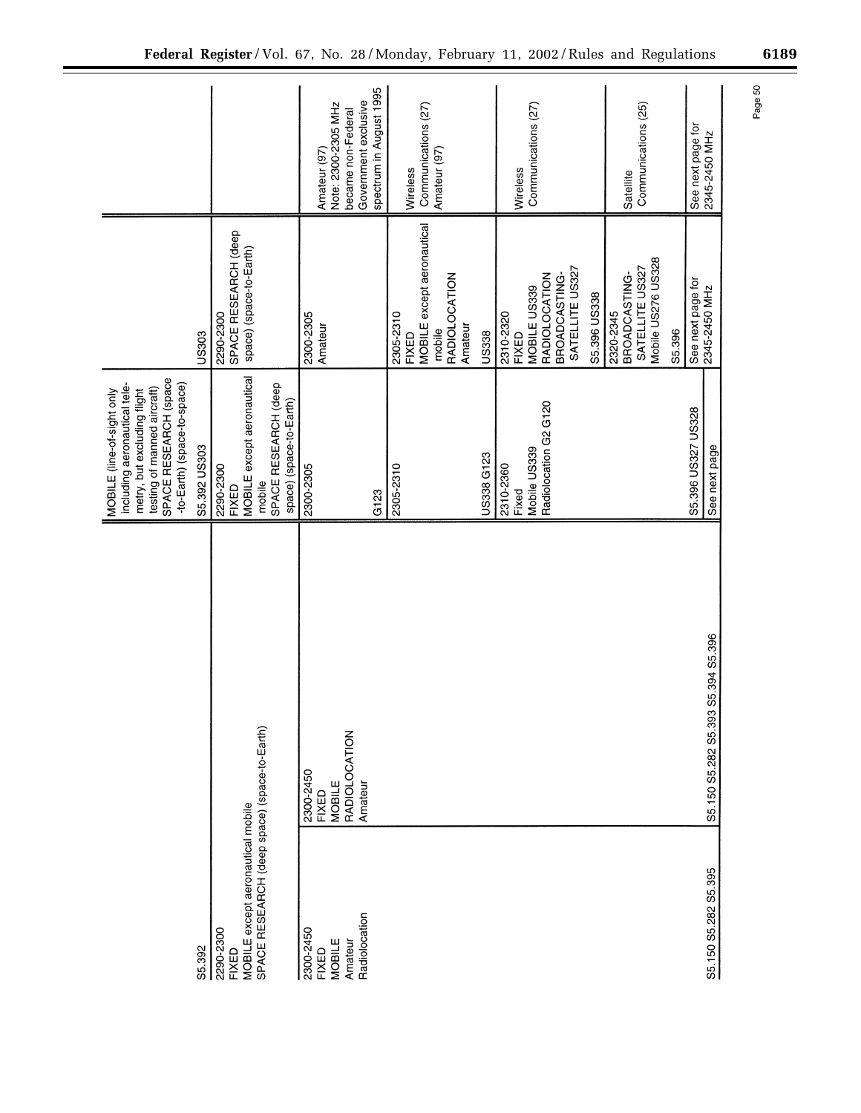|                                                                                                                | SPACE RESEARCH (space<br>-to-Earth) (space-to-space)<br>including aeronautical tele-<br>testing of manned aircraft)<br>MOBILE (line-of-sight only<br>metry, but excluding flight |                                                                     |                                  |
|----------------------------------------------------------------------------------------------------------------|----------------------------------------------------------------------------------------------------------------------------------------------------------------------------------|---------------------------------------------------------------------|----------------------------------|
| S5.392                                                                                                         | S5.392 US303                                                                                                                                                                     | US303                                                               |                                  |
| SPACE RESEARCH (deep space) (space-to-Earth)<br>MOBILE except aeronautical mobile<br>2290-2300<br><b>FIXED</b> | MOBILE except aeronautical<br>SPACE RESEARCH (deep<br>2290-2300<br>mobile<br><b>FIXED</b>                                                                                        | SPACE RESEARCH (deep<br>space) (space-to-Earth)<br>2290-2300        |                                  |
|                                                                                                                | space) (space-to-Earth)                                                                                                                                                          |                                                                     |                                  |
| 2300-2450<br><b>FIXED</b><br>2300-2450<br><b>FIXED</b>                                                         | 2300-2305                                                                                                                                                                        | 2300-2305<br>Amateur                                                | Amateur (97)                     |
| MOBILE<br>MOBILE                                                                                               |                                                                                                                                                                                  |                                                                     | Note: 2300-2305 MHz              |
| RADIOLOCATION<br>Amateur                                                                                       |                                                                                                                                                                                  |                                                                     | became non-Federal               |
| Amateur<br>Radiolocation                                                                                       |                                                                                                                                                                                  |                                                                     | Government exclusive             |
|                                                                                                                | G123                                                                                                                                                                             |                                                                     | spectrum in August 1995          |
|                                                                                                                | 2305-2310                                                                                                                                                                        | 2305-2310                                                           |                                  |
|                                                                                                                |                                                                                                                                                                                  | <b>MOBILE</b> except aeronautical<br><b>FIXED</b>                   | Wireless                         |
|                                                                                                                |                                                                                                                                                                                  |                                                                     | Communications (27)              |
|                                                                                                                |                                                                                                                                                                                  | RADIOLOCATION<br>mobile                                             | Amateur (97)                     |
|                                                                                                                |                                                                                                                                                                                  | Amateur                                                             |                                  |
|                                                                                                                | US338 G123                                                                                                                                                                       | US338                                                               |                                  |
|                                                                                                                | 2310-2360<br>Fixed                                                                                                                                                               | 2310-2320<br><b>FIXED</b>                                           | Wireless                         |
|                                                                                                                | Mobile US339                                                                                                                                                                     | MOBILE US339                                                        | Communications (27)              |
|                                                                                                                | Radiolocation G2 G120                                                                                                                                                            | <b>RADIOLOCATION</b>                                                |                                  |
|                                                                                                                |                                                                                                                                                                                  | SATELLITE US327<br>BROADCASTING-                                    |                                  |
|                                                                                                                |                                                                                                                                                                                  | S5.396 US338                                                        |                                  |
|                                                                                                                |                                                                                                                                                                                  | Mobile US276 US328<br>SATELLITE US327<br>BROADCASTING-<br>2320-2345 | Communications (25)<br>Satellite |
|                                                                                                                |                                                                                                                                                                                  | S5.396                                                              |                                  |
|                                                                                                                | S5.396 US327 US328                                                                                                                                                               |                                                                     | See next page for                |
| S5.394 S5.396<br>S5.150 S5.282 S5.393<br>S5.150 S5.282 S5.395                                                  | See next page                                                                                                                                                                    | See next page for<br>2345-2450 MHz                                  | 2345-2450 MHz                    |

Page 50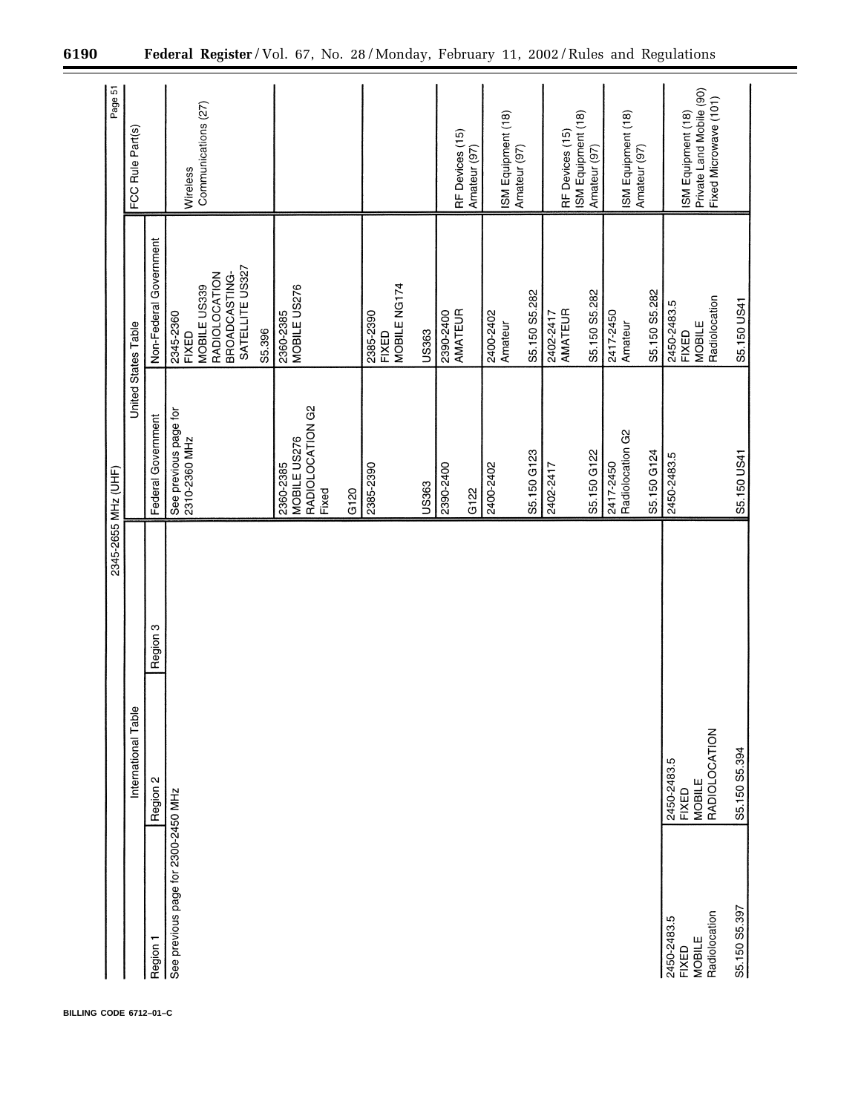|                                                        |                                                        |          | 2345-2655 MHz (UHF)                                            |                                                                                                   | Page 51                                                                 |
|--------------------------------------------------------|--------------------------------------------------------|----------|----------------------------------------------------------------|---------------------------------------------------------------------------------------------------|-------------------------------------------------------------------------|
|                                                        | International Table                                    |          |                                                                | United States Table                                                                               | FCC Rule Part(s)                                                        |
| Region 1                                               | Region 2                                               | Region 3 | Federal Government                                             | Non-Federal Government                                                                            |                                                                         |
| See previous page for 2300-2450 MHz                    |                                                        |          | See previous page for<br>2310-2360 MHz                         | SATELLITE US327<br>BROADCASTING-<br>RADIOLOCATION<br>MOBILE US339<br>2345-2360<br>FIXED<br>S5.396 | Communications (27)<br>Wireless                                         |
|                                                        |                                                        |          | RADIOLOCATION G2<br>MOBILE US276<br>2360-2385<br>Fixed<br>G120 | MOBILE US276<br>2360-2385                                                                         |                                                                         |
|                                                        |                                                        |          | 2385-2390                                                      | MOBILE NG174<br>2385-2390<br><b>FIXED</b>                                                         |                                                                         |
|                                                        |                                                        |          | US363                                                          | US363                                                                                             |                                                                         |
|                                                        |                                                        |          | 2390-2400<br>G122                                              | AMATEUR<br>2390-2400                                                                              | RF Devices (15)<br>Amateur (97)                                         |
|                                                        |                                                        |          | 2400-2402                                                      | 2400-2402<br>Amateur                                                                              | ISM Equipment (18)<br>Amateur (97)                                      |
|                                                        |                                                        |          | S5.150 G123                                                    | S5.150 S5.282                                                                                     |                                                                         |
|                                                        |                                                        |          | 2402-2417                                                      | 2402-2417<br>AMATEUR                                                                              | ISM Equipment (18)<br>RF Devices (15)                                   |
|                                                        |                                                        |          | S5.150 G122                                                    | S5.150 S5.282                                                                                     | Amateur (97)                                                            |
|                                                        |                                                        |          | Radiolocation G2<br>2417-2450                                  | 2417-2450<br>Amateur                                                                              | ISM Equipment (18)<br>Amateur (97)                                      |
|                                                        |                                                        |          | S5.150 G124                                                    | S5.150 S5.282                                                                                     |                                                                         |
| Radiolocation<br>2450-2483.5<br>MOBILE<br><b>FIXED</b> | RADIOLOCATION<br>2450-2483.5<br>MOBILE<br><b>FIXED</b> |          | 2450-2483.5                                                    | MOBILE<br>Radiolocation<br>2450-2483.5<br>FIXED                                                   | Private Land Mobile (90)<br>Fixed Microwave (101)<br>ISM Equipment (18) |
| S5.150 S5.397                                          | S5.150 S5.394                                          |          | S5.150 US41                                                    | S5.150 US41                                                                                       |                                                                         |

**BILLING CODE 6712–01–C**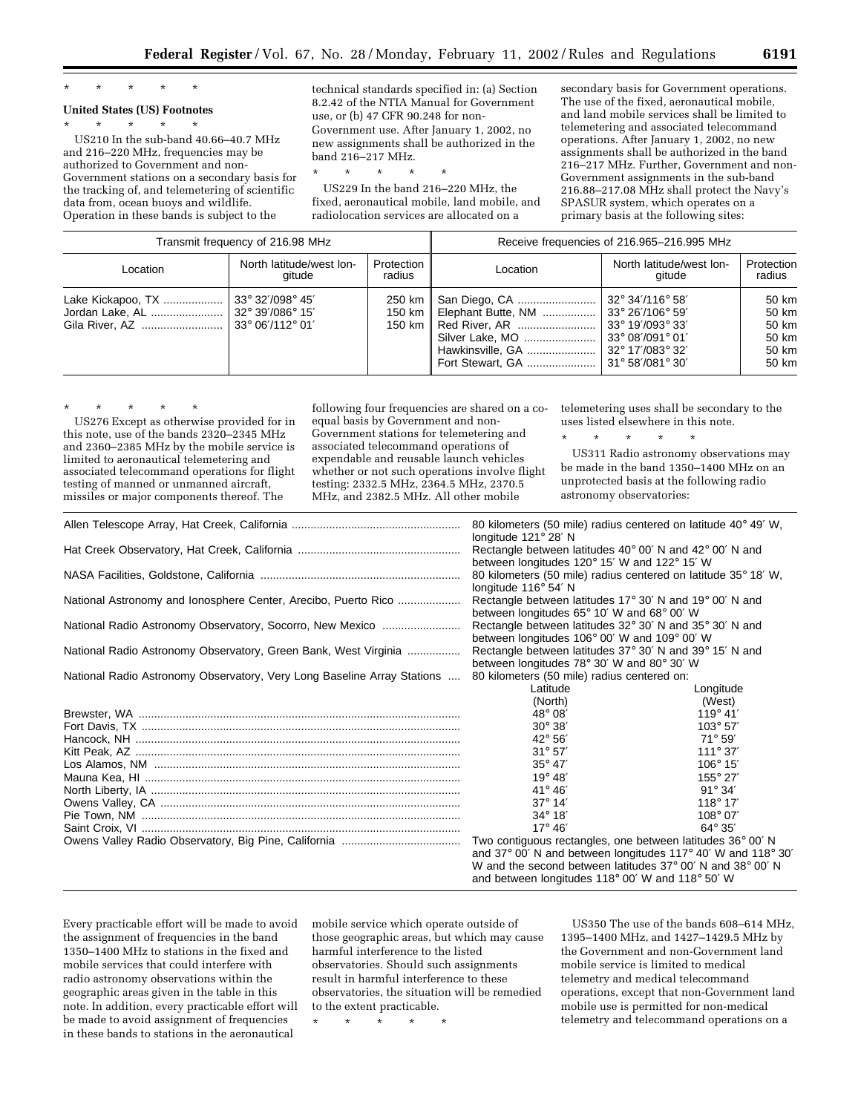# \* \* \* \* \*

## **United States (US) Footnotes**

\* \* \* \* \*

US210 In the sub-band 40.66–40.7 MHz and 216–220 MHz, frequencies may be authorized to Government and non-Government stations on a secondary basis for the tracking of, and telemetering of scientific data from, ocean buoys and wildlife. Operation in these bands is subject to the

technical standards specified in: (a) Section 8.2.42 of the NTIA Manual for Government use, or (b) 47 CFR 90.248 for non-Government use. After January 1, 2002, no new assignments shall be authorized in the band 216–217 MHz.

\* \* \* \* \*

US229 In the band 216–220 MHz, the fixed, aeronautical mobile, land mobile, and radiolocation services are allocated on a

secondary basis for Government operations. The use of the fixed, aeronautical mobile, and land mobile services shall be limited to telemetering and associated telecommand operations. After January 1, 2002, no new assignments shall be authorized in the band 216–217 MHz. Further, Government and non-Government assignments in the sub-band 216.88–217.08 MHz shall protect the Navy's SPASUR system, which operates on a primary basis at the following sites:

| Transmit frequency of 216.98 MHz |                                     | Receive frequencies of 216.965-216.995 MHz |                                                                                                                                     |                                                                                                                                                                                                                 |                                                    |
|----------------------------------|-------------------------------------|--------------------------------------------|-------------------------------------------------------------------------------------------------------------------------------------|-----------------------------------------------------------------------------------------------------------------------------------------------------------------------------------------------------------------|----------------------------------------------------|
| Location                         | North latitude/west lon-<br>gitude  | Protection<br>radius                       | Location                                                                                                                            | North latitude/west lon-<br>gitude                                                                                                                                                                              | Protection<br>radius                               |
|                                  | $33^{\circ}$ 32'/098 $^{\circ}$ 45' | 250 km l                                   | San Diego, CA<br>150 km    Elephant Butte, NM<br>150 km    Red River, AR<br>Silver Lake, MO<br>Hawkinsville, GA<br>Fort Stewart, GA | $132^{\circ}$ 34'/116 $^{\circ}$ 58'<br>$\frac{1}{33^{\circ}}$ 26'/106 $^{\circ}$ 59'<br>$ 33^{\circ} 19''/093^{\circ} 33''$<br>l 33° 08′/091° 01′<br>$\frac{1}{2}$ 32° 17'/083° 32'<br>$\mid$ 31° 58'/081° 30' | 50 km<br>50 km<br>50 km<br>50 km<br>50 km<br>50 km |

\* \* \* \* \* US276 Except as otherwise provided for in this note, use of the bands 2320–2345 MHz and 2360–2385 MHz by the mobile service is limited to aeronautical telemetering and associated telecommand operations for flight testing of manned or unmanned aircraft, missiles or major components thereof. The

following four frequencies are shared on a coequal basis by Government and non-Government stations for telemetering and associated telecommand operations of expendable and reusable launch vehicles whether or not such operations involve flight testing: 2332.5 MHz, 2364.5 MHz, 2370.5 MHz, and 2382.5 MHz. All other mobile

telemetering uses shall be secondary to the uses listed elsewhere in this note.

\* \* \* \* \* US311 Radio astronomy observations may be made in the band 1350–1400 MHz on an unprotected basis at the following radio astronomy observatories:

|                                                                         | 80 kilometers (50 mile) radius centered on latitude 40° 49' W,<br>longitude 121° 28' N                                                                                                                                                       |                                        |
|-------------------------------------------------------------------------|----------------------------------------------------------------------------------------------------------------------------------------------------------------------------------------------------------------------------------------------|----------------------------------------|
|                                                                         | Rectangle between latitudes $40^{\circ}$ 00' N and $42^{\circ}$ 00' N and<br>between longitudes 120° 15' W and 122° 15' W                                                                                                                    |                                        |
|                                                                         | 80 kilometers (50 mile) radius centered on latitude 35° 18′ W,<br>longitude 116° 54' N                                                                                                                                                       |                                        |
| National Astronomy and Ionosphere Center, Arecibo, Puerto Rico          | Rectangle between latitudes 17° 30' N and 19° 00' N and<br>between longitudes 65° 10' W and 68° 00' W                                                                                                                                        |                                        |
| National Radio Astronomy Observatory, Socorro, New Mexico               | Rectangle between latitudes 32° 30' N and 35° 30' N and<br>between longitudes 106° 00' W and 109° 00' W                                                                                                                                      |                                        |
| National Radio Astronomy Observatory, Green Bank, West Virginia         | Rectangle between latitudes 37° 30' N and 39° 15' N and<br>between longitudes 78° 30' W and 80° 30' W                                                                                                                                        |                                        |
| National Radio Astronomy Observatory, Very Long Baseline Array Stations | 80 kilometers (50 mile) radius centered on:<br>Latitude                                                                                                                                                                                      | Longitude                              |
|                                                                         | (North)<br>48° 08'                                                                                                                                                                                                                           | (West)<br>$119^{\circ} 41'$            |
|                                                                         | $30^{\circ} 38'$<br>$42^{\circ} 56'$                                                                                                                                                                                                         | $103^{\circ} 57'$<br>$71^{\circ} 59'$  |
|                                                                         | $31^{\circ} 57'$<br>$35^\circ 47'$                                                                                                                                                                                                           | $111^{\circ} 37'$<br>$106^{\circ} 15'$ |
|                                                                         | $19^{\circ} 48'$<br>41° 46'                                                                                                                                                                                                                  | $155^{\circ}$ 27'<br>$91^{\circ} 34'$  |
|                                                                         | $37^{\circ}$ 14'<br>$34^{\circ} 18'$                                                                                                                                                                                                         | $118^{\circ} 17'$<br>$108^{\circ} 07'$ |
|                                                                         | $17^\circ 46'$                                                                                                                                                                                                                               | $64^\circ 35'$                         |
|                                                                         | Two contiguous rectangles, one between latitudes 36° 00' N<br>and 37° 00' N and between longitudes 117° 40' W and 118° 30'<br>W and the second between latitudes 37° 00' N and 38° 00' N<br>and between longitudes 118° 00' W and 118° 50' W |                                        |

Every practicable effort will be made to avoid the assignment of frequencies in the band 1350–1400 MHz to stations in the fixed and mobile services that could interfere with radio astronomy observations within the geographic areas given in the table in this note. In addition, every practicable effort will be made to avoid assignment of frequencies in these bands to stations in the aeronautical

mobile service which operate outside of those geographic areas, but which may cause harmful interference to the listed observatories. Should such assignments result in harmful interference to these observatories, the situation will be remedied to the extent practicable.

\* \* \* \* \*

US350 The use of the bands 608–614 MHz, 1395–1400 MHz, and 1427–1429.5 MHz by the Government and non-Government land mobile service is limited to medical telemetry and medical telecommand operations, except that non-Government land mobile use is permitted for non-medical telemetry and telecommand operations on a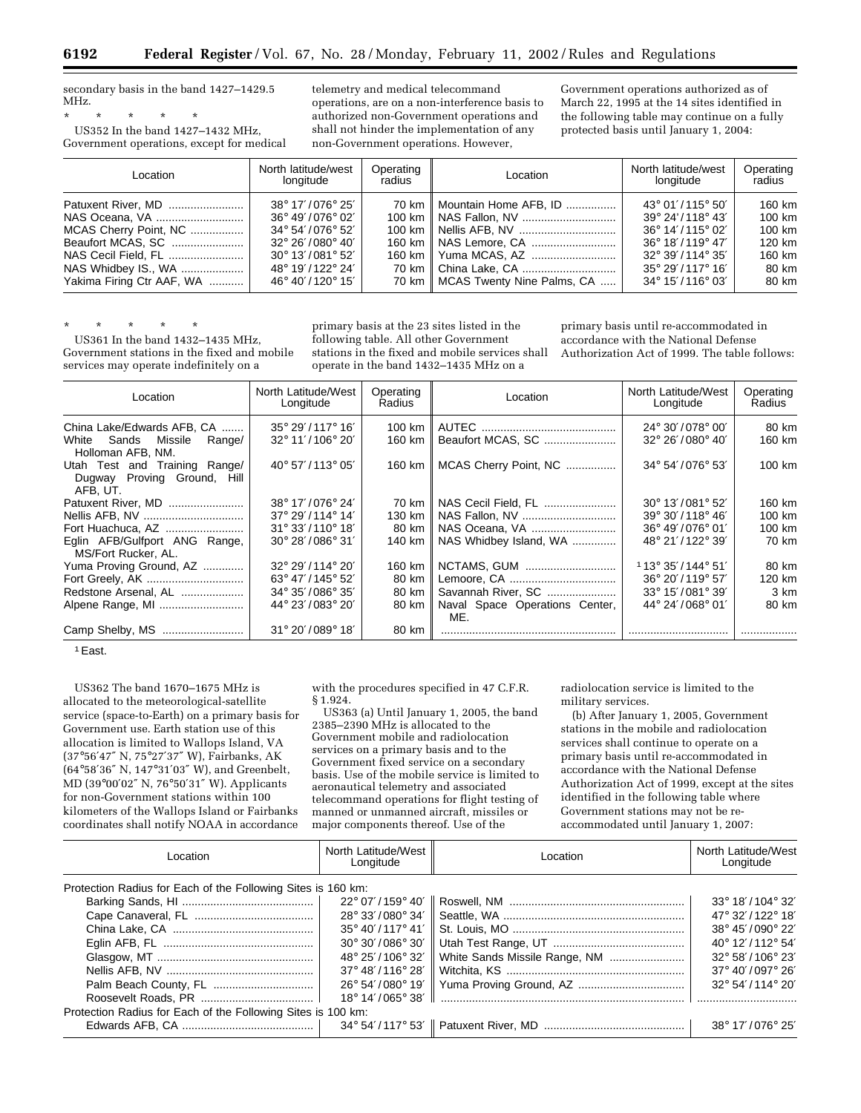secondary basis in the band 1427–1429.5 MHz.

\* \* \* \* \*

US352 In the band 1427–1432 MHz, Government operations, except for medical

telemetry and medical telecommand operations, are on a non-interference basis to authorized non-Government operations and shall not hinder the implementation of any non-Government operations. However,

Government operations authorized as of March 22, 1995 at the 14 sites identified in the following table may continue on a fully protected basis until January 1, 2004:

| Location                  | North latitude/west<br>longitude    | Operating<br>radius | Location                            | North latitude/west<br>longitude    | Operating<br>radius |
|---------------------------|-------------------------------------|---------------------|-------------------------------------|-------------------------------------|---------------------|
| Patuxent River, MD        | 38° 17'/076° 25'                    |                     | 70 km    Mountain Home AFB, ID      | $43^{\circ}$ 01'/115 $^{\circ}$ 50' | 160 km              |
|                           | 36° 49'/076° 02'                    |                     |                                     | $39^{\circ}$ 24'/118 $^{\circ}$ 43' | 100 km              |
| MCAS Cherry Point, NC     | $34^{\circ}$ 54'/076 $^{\circ}$ 52' |                     |                                     | $36^{\circ}$ 14'/115 $^{\circ}$ 02' | 100 km              |
| Beaufort MCAS, SC         | $32^{\circ}$ 26'/080 $^{\circ}$ 40' |                     |                                     | $36^{\circ}$ 18'/119 $^{\circ}$ 47' | 120 km              |
| NAS Cecil Field, FL       | $30^{\circ}$ 13'/081 $^{\circ}$ 52' |                     |                                     | $32^{\circ}$ 39'/114 $^{\circ}$ 35' | 160 km              |
| NAS Whidbey IS., WA       | 48° 19' / 122° 24'                  |                     |                                     | $35^{\circ}$ 29'/117 $^{\circ}$ 16' | 80 km               |
| Yakima Firing Ctr AAF, WA | 46° 40'/120° 15'                    |                     | 70 km    MCAS Twenty Nine Palms, CA | $34^{\circ}$ 15'/116 $^{\circ}$ 03' | 80 km               |

\* \* \* \* \*

US361 In the band 1432–1435 MHz, Government stations in the fixed and mobile services may operate indefinitely on a

primary basis at the 23 sites listed in the following table. All other Government stations in the fixed and mobile services shall operate in the band 1432–1435 MHz on a

primary basis until re-accommodated in accordance with the National Defense Authorization Act of 1999. The table follows:

| Location                                                                 | North Latitude/West<br>Longitude    | Operating<br>Radius | Location                              | North Latitude/West<br>Longitude    | Operating<br>Radius |
|--------------------------------------------------------------------------|-------------------------------------|---------------------|---------------------------------------|-------------------------------------|---------------------|
| China Lake/Edwards AFB, CA                                               | $35^{\circ}$ 29'/117 $^{\circ}$ 16' | 100 km              |                                       | $24^{\circ}$ 30'/078 $^{\circ}$ 00' | 80 km               |
| Sands Missile<br>White<br>Range/<br>Holloman AFB, NM.                    | $32^{\circ}$ 11'/106 $^{\circ}$ 20' | 160 km              | Beaufort MCAS, SC                     | $32^{\circ}$ 26'/080 $^{\circ}$ 40' | 160 km              |
| Utah Test and Training Range/<br>Dugway Proving Ground, Hill<br>AFB, UT. | 40° 57'/113° 05'                    | 160 km              | MCAS Cherry Point, NC                 | 34° 54'/076° 53'                    | 100 km              |
| Patuxent River, MD                                                       | 38° 17'/076° 24'                    | 70 km               | NAS Cecil Field, FL                   | $30^{\circ}$ 13'/081 $^{\circ}$ 52' | 160 km              |
| Nellis AFB, NV                                                           | 37° 29'/114° 14'                    | 130 km              |                                       | $39^{\circ}$ 30'/118 $^{\circ}$ 46' | 100 km              |
| Fort Huachuca, AZ                                                        | $31^{\circ}$ 33'/110 $^{\circ}$ 18' | 80 km               | NAS Oceana, VA                        | 36° 49'/076° 01'                    | 100 km              |
| Eglin AFB/Gulfport ANG Range,<br>MS/Fort Rucker, AL.                     | $30^{\circ}$ 28'/086 $^{\circ}$ 31' | 140 km              | NAS Whidbey Island, WA                | 48° 21'/122° 39'                    | 70 km               |
| Yuma Proving Ground, AZ                                                  | $32^{\circ}$ 29'/114 $^{\circ}$ 20' | 160 km              | NCTAMS, GUM                           | $113^{\circ}35'/144^{\circ}51'$     | 80 km               |
| Fort Greely, AK                                                          | $63^{\circ}$ 47'/145 $^{\circ}$ 52' | 80 km               |                                       | $36^{\circ}$ 20'/119 $^{\circ}$ 57' | 120 km              |
| Redstone Arsenal, AL                                                     | $34^{\circ} 35'/086^{\circ} 35'$    | 80 km               | Savannah River, SC                    | 33° 15'/081° 39'                    | 3 km                |
| Alpene Range, MI                                                         | 44° 23'/083° 20'                    | 80 km               | Naval Space Operations Center,<br>ME. | 44° 24'/068° 01'                    | 80 km               |
|                                                                          | $31^{\circ}$ 20'/089 $^{\circ}$ 18' | 80 km               |                                       |                                     |                     |

1East.

US362 The band 1670–1675 MHz is allocated to the meteorological-satellite service (space-to-Earth) on a primary basis for Government use. Earth station use of this allocation is limited to Wallops Island, VA (37°56′47″ N, 75°27′37″ W), Fairbanks, AK (64°58′36″ N, 147°31′03″ W), and Greenbelt, MD (39°00′02″ N, 76°50′31″ W). Applicants for non-Government stations within 100 kilometers of the Wallops Island or Fairbanks coordinates shall notify NOAA in accordance

with the procedures specified in 47 C.F.R. § 1.924.

US363 (a) Until January 1, 2005, the band 2385–2390 MHz is allocated to the Government mobile and radiolocation services on a primary basis and to the Government fixed service on a secondary basis. Use of the mobile service is limited to aeronautical telemetry and associated telecommand operations for flight testing of manned or unmanned aircraft, missiles or major components thereof. Use of the

radiolocation service is limited to the military services.

(b) After January 1, 2005, Government stations in the mobile and radiolocation services shall continue to operate on a primary basis until re-accommodated in accordance with the National Defense Authorization Act of 1999, except at the sites identified in the following table where Government stations may not be reaccommodated until January 1, 2007:

| North Latitude/West<br>Longitude                             | Location                      | North Latitude/West<br>Longitude                         |
|--------------------------------------------------------------|-------------------------------|----------------------------------------------------------|
| Protection Radius for Each of the Following Sites is 160 km: |                               |                                                          |
|                                                              |                               | $33^{\circ}$ 18'/104 $^{\circ}$ 32'                      |
|                                                              |                               | 47° 32'/122° 18'                                         |
| $35^{\circ}$ 40'/117 $^{\circ}$ 41'                          |                               | $38^{\circ}$ 45'/090 $^{\circ}$ 22'                      |
| $30^{\circ}$ 30'/086 $^{\circ}$ 30'                          |                               | 40° 12'/112° 54'                                         |
| 48° 25'/106° 32'                                             | White Sands Missile Range, NM | 32° 58'/106° 23'                                         |
| $37^{\circ}$ 48'/116 $^{\circ}$ 28'                          |                               | $37^{\circ}$ 40'/097 $^{\circ}$ 26'                      |
| 26° 54'/080° 19'                                             |                               | 32° 54'/114° 20'                                         |
| $18^{\circ}$ 14'/065 $^{\circ}$ 38'                          |                               |                                                          |
| Protection Radius for Each of the Following Sites is 100 km: |                               |                                                          |
|                                                              |                               |                                                          |
|                                                              |                               | 22° 07'/159° 40'∥<br>$28^{\circ}$ 33'/080 $^{\circ}$ 34' |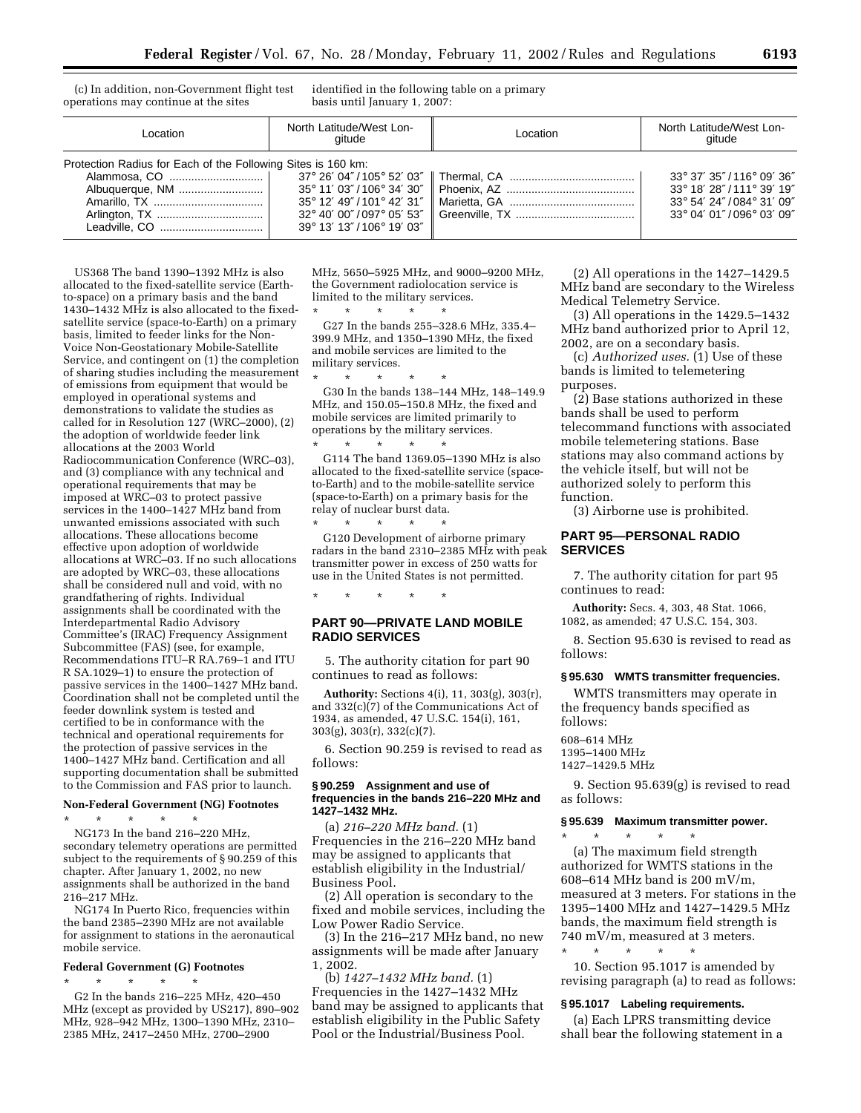(c) In addition, non-Government flight test operations may continue at the sites

identified in the following table on a primary basis until January 1, 2007:

| Location                                                     | North Latitude/West Lon-<br>aitude                      | Location | North Latitude/West Lon-<br>gitude |  |
|--------------------------------------------------------------|---------------------------------------------------------|----------|------------------------------------|--|
| Protection Radius for Each of the Following Sites is 160 km: |                                                         |          |                                    |  |
|                                                              |                                                         |          | 33° 37' 35"/116° 09' 36"           |  |
|                                                              |                                                         |          | 33° 18' 28"/111° 39' 19"           |  |
|                                                              | $35^{\circ}$ 12' 49"/101° 42' 31″ $\parallel$           |          | 33° 54' 24"/084° 31' 09"           |  |
|                                                              | $32^{\circ}$ 40' 00"/097 $^{\circ}$ 05' 53" $\parallel$ |          | 33° 04' 01"/096° 03' 09"           |  |
|                                                              | 39° 13' 13"/106° 19' 03"                                |          |                                    |  |
|                                                              |                                                         |          |                                    |  |

US368 The band 1390–1392 MHz is also allocated to the fixed-satellite service (Earthto-space) on a primary basis and the band 1430–1432 MHz is also allocated to the fixedsatellite service (space-to-Earth) on a primary basis, limited to feeder links for the Non-Voice Non-Geostationary Mobile-Satellite Service, and contingent on (1) the completion of sharing studies including the measurement of emissions from equipment that would be employed in operational systems and demonstrations to validate the studies as called for in Resolution 127 (WRC–2000), (2) the adoption of worldwide feeder link allocations at the 2003 World Radiocommunication Conference (WRC–03), and (3) compliance with any technical and operational requirements that may be imposed at WRC–03 to protect passive services in the 1400–1427 MHz band from unwanted emissions associated with such allocations. These allocations become effective upon adoption of worldwide allocations at WRC–03. If no such allocations are adopted by WRC–03, these allocations shall be considered null and void, with no grandfathering of rights. Individual assignments shall be coordinated with the Interdepartmental Radio Advisory Committee's (IRAC) Frequency Assignment Subcommittee (FAS) (see, for example, Recommendations ITU–R RA.769–1 and ITU R SA.1029–1) to ensure the protection of passive services in the 1400–1427 MHz band. Coordination shall not be completed until the feeder downlink system is tested and certified to be in conformance with the technical and operational requirements for the protection of passive services in the 1400–1427 MHz band. Certification and all supporting documentation shall be submitted to the Commission and FAS prior to launch.

# **Non-Federal Government (NG) Footnotes**

\* \* \* \* \* NG173 In the band 216–220 MHz, secondary telemetry operations are permitted subject to the requirements of § 90.259 of this chapter. After January 1, 2002, no new assignments shall be authorized in the band 216–217 MHz.

NG174 In Puerto Rico, frequencies within the band 2385–2390 MHz are not available for assignment to stations in the aeronautical mobile service.

#### **Federal Government (G) Footnotes** \* \* \* \* \*

G2 In the bands 216–225 MHz, 420–450 MHz (except as provided by US217), 890–902 MHz, 928–942 MHz, 1300–1390 MHz, 2310– 2385 MHz, 2417–2450 MHz, 2700–2900

MHz, 5650–5925 MHz, and 9000–9200 MHz, the Government radiolocation service is limited to the military services.

\* \* \* \* \* G27 In the bands 255–328.6 MHz, 335.4– 399.9 MHz, and 1350–1390 MHz, the fixed and mobile services are limited to the military services.

 $*$  \*

G30 In the bands 138–144 MHz, 148–149.9 MHz, and 150.05–150.8 MHz, the fixed and mobile services are limited primarily to operations by the military services.

\* \* \* \* \* G114 The band 1369.05–1390 MHz is also allocated to the fixed-satellite service (spaceto-Earth) and to the mobile-satellite service (space-to-Earth) on a primary basis for the relay of nuclear burst data.

\* \* \* \* \* G120 Development of airborne primary radars in the band 2310–2385 MHz with peak transmitter power in excess of 250 watts for use in the United States is not permitted.

\* \* \* \* \* **PART 90—PRIVATE LAND MOBILE RADIO SERVICES**

5. The authority citation for part 90 continues to read as follows:

**Authority:** Sections 4(i), 11, 303(g), 303(r), and 332(c)(7) of the Communications Act of 1934, as amended, 47 U.S.C. 154(i), 161, 303(g), 303(r), 332(c)(7).

6. Section 90.259 is revised to read as follows:

## **§ 90.259 Assignment and use of frequencies in the bands 216–220 MHz and 1427–1432 MHz.**

(a) *216–220 MHz band.* (1) Frequencies in the 216–220 MHz band may be assigned to applicants that establish eligibility in the Industrial/ Business Pool.

(2) All operation is secondary to the fixed and mobile services, including the Low Power Radio Service.

(3) In the 216–217 MHz band, no new assignments will be made after January 1, 2002.

(b) *1427–1432 MHz band.* (1) Frequencies in the 1427–1432 MHz band may be assigned to applicants that establish eligibility in the Public Safety Pool or the Industrial/Business Pool.

(2) All operations in the 1427–1429.5 MHz band are secondary to the Wireless Medical Telemetry Service.

(3) All operations in the 1429.5–1432 MHz band authorized prior to April 12, 2002, are on a secondary basis.

(c) *Authorized uses.* (1) Use of these bands is limited to telemetering purposes.

(2) Base stations authorized in these bands shall be used to perform telecommand functions with associated mobile telemetering stations. Base stations may also command actions by the vehicle itself, but will not be authorized solely to perform this function.

(3) Airborne use is prohibited.

# **PART 95—PERSONAL RADIO SERVICES**

7. The authority citation for part 95 continues to read:

**Authority:** Secs. 4, 303, 48 Stat. 1066, 1082, as amended; 47 U.S.C. 154, 303.

8. Section 95.630 is revised to read as follows:

#### **§ 95.630 WMTS transmitter frequencies.**

WMTS transmitters may operate in the frequency bands specified as follows:

### 608–614 MHz 1395–1400 MHz

1427–1429.5 MHz

9. Section 95.639(g) is revised to read as follows:

#### **§ 95.639 Maximum transmitter power.**

\* \* \* \* \* (a) The maximum field strength authorized for WMTS stations in the 608–614 MHz band is 200 mV/m, measured at 3 meters. For stations in the 1395–1400 MHz and 1427–1429.5 MHz bands, the maximum field strength is 740 mV/m, measured at 3 meters.

\* \* \* \* \* 10. Section 95.1017 is amended by revising paragraph (a) to read as follows:

#### **§ 95.1017 Labeling requirements.**

(a) Each LPRS transmitting device shall bear the following statement in a